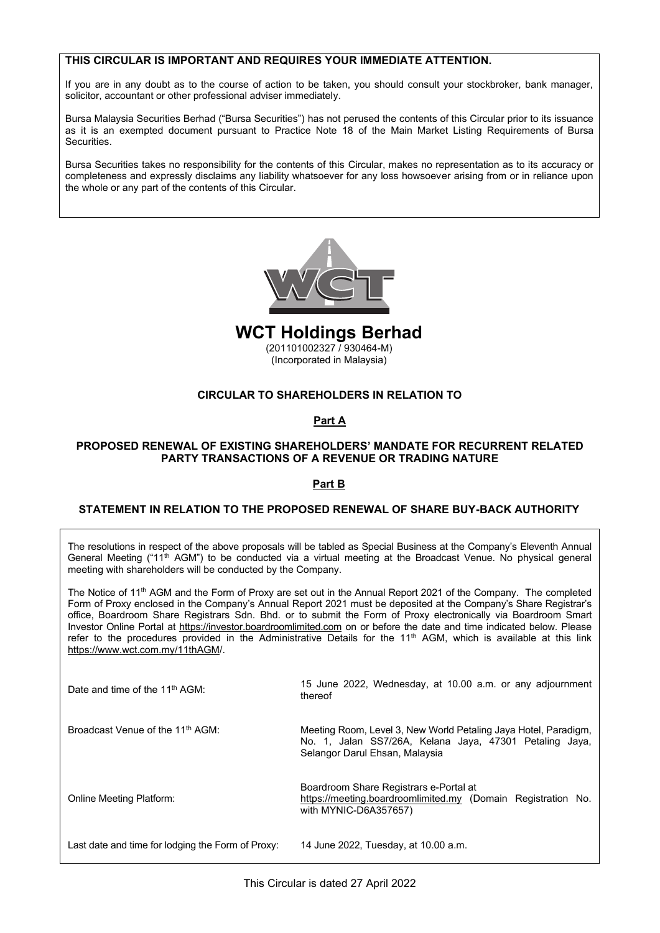# **THIS CIRCULAR IS IMPORTANT AND REQUIRES YOUR IMMEDIATE ATTENTION.**

the whole or any part of the contents of this Circular.

the whole or any part of the contents of this Circular.

If you are in any doubt as to the course of action to be taken, you should consult your stockbroker, bank manager, solicitor, accountant or other professional adviser immediately.

Bursa Malaysia Securities Berhad ("Bursa Securities") has not perused the contents of this Circular prior to its issuance as it is an exempted document pursuant to Practice Note 18 of the Main Market Listing Requirements of Bursa Securities.  $B$ ursa  $B$ ecurities  $B$  $B_0$ ursa  $B_0$ ecurities  $B_1$ 

Bursa Securities takes no responsibility for the contents of this Circular, makes no representation as to its accuracy or bursa Securities takes no responsibility for the contents of this Circular, makes no representation as to its accuracy or completeness and expressly disclaims any liability whatsoever for any loss howsoever arising from or the whole or any part of the contents of this Circular.



(201101002327 / 930464-M) (Incorporated in Malaysia) **WCT Holdings Berhad WCT Holdings Berhad**

**CIRCULAR TO SHAREHOLDERS IN RELATION TO** (201101002327 / 930464-M) (201101002327 / 930464-M) (Incorporated in Malaysia) (Incorporated in Malaysia)

# **Part A CIRCULAR TO SHAREHOLDERS IN RELATION TO CIRCULAR TO SHAREHOLDERS IN RELATION TO**

#### **Part A Part A Part A**

# **PARTY TRANSACTIONS OF A REVENUE OR TRADING NATURE PROPOSED RENEWAL OF EXISTING SHAREHOLDERS' MANDATE FOR RECURRENT RELATED PROPOSED RENEWAL OF EXISTING SHAREHOLDERS' MANDATE FOR RECURRENT RELATED**

#### $S$ TATEMENT IN RELATION TO THE PROPOSED RENEWAL OF SHARE BUY-BACK AUTHORITY **PROPOSED AUTHORITY Part B Part B**

# General Meeting ("11th AGM") to be conducted via a virtual meeting at the Broadcast Venue. No physical general general general general general general general general general general general general general general genera **STATEMENT IN RELATION TO THE PROPOSED RENEWAL OF SHARE BUY-BACK AUTHORITY STATEMENT IN RELATION TO THE PROPOSED RENEWAL OF SHARE BUY-BACK AUTHORITY**

The resolutions in respect of the above proposals will be tabled as Special Business at the Company's Eleventh Annual Octice mechanic of 11 th AGM and the Form of Proxy are set out in the Bodded Preset vehicle. The priyolear general Report 2021 of the Company. meeting with shareholders will be conducted by the Company. General Meeting ("11th AGM") to be conducted via a virtual meeting at the Broadcast Venue. No physical general General Meeting ("11th AGM") to be conducted via a virtual meeting at the Broadcast Venue. No physical general

The Notice of 11<sup>th</sup> AGM and the Form of Proxy are set out in the Annual Report 2021 of the Company. The completed Form of Proxy enclosed in the Company's Annual Report 2021 must be deposited at the Company's Share Registrar's office, Boardroom Share Registrars Sdn. Bhd. or to submit the Form of Proxy electronically via Boardroom Smart Investor Online Portal at https://investor.boardroomlimited.com on or before the date and time indicated below. Please refer to the procedures provided in the Administrative Details for the 11<sup>th</sup> AGM, which is available at this link https://www.wct.com.my/11thAGM/. https://www.wct.com.my/11thAGM/.

| Date and time of the 11 <sup>th</sup> AGM:        | 15 June 2022, Wednesday, at 10.00 a.m. or any adjournment<br>thereof                                                                                         |
|---------------------------------------------------|--------------------------------------------------------------------------------------------------------------------------------------------------------------|
| Broadcast Venue of the 11 <sup>th</sup> AGM:      | Meeting Room, Level 3, New World Petaling Jaya Hotel, Paradigm,<br>No. 1, Jalan SS7/26A, Kelana Jaya, 47301 Petaling Jaya,<br>Selangor Darul Ehsan, Malaysia |
| Online Meeting Platform:                          | Boardroom Share Registrars e-Portal at<br>https://meeting.boardroomlimited.my (Domain Registration No.<br>with MYNIC-D6A357657)                              |
| Last date and time for lodging the Form of Proxy: | 14 June 2022, Tuesday, at 10.00 a.m.                                                                                                                         |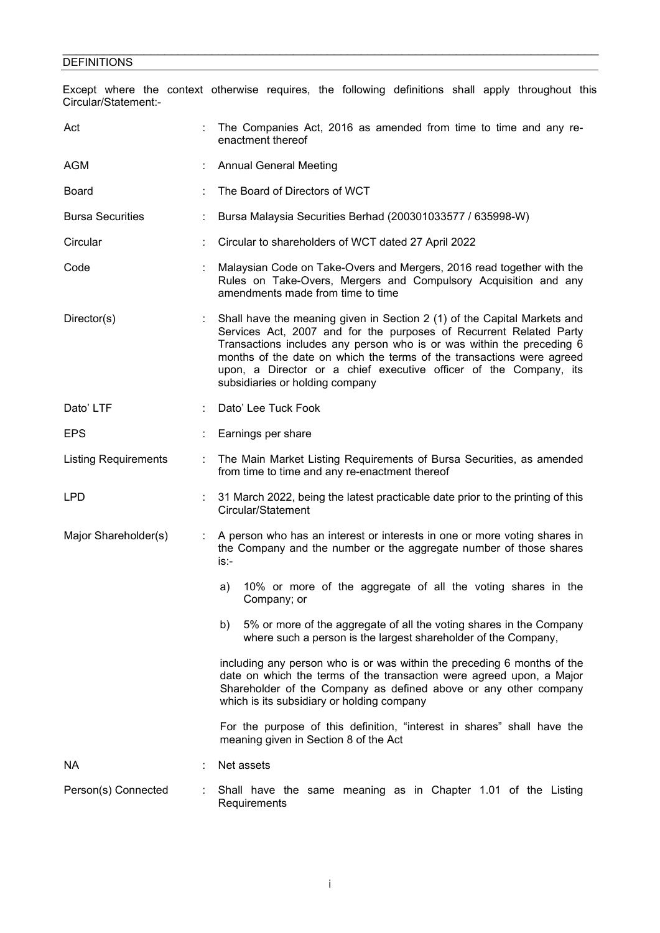#### \_\_\_\_\_\_\_\_\_\_\_\_\_\_\_\_\_\_\_\_\_\_\_\_\_\_\_\_\_\_\_\_\_\_\_\_\_\_\_\_\_\_\_\_\_\_\_\_\_\_\_\_\_\_\_\_\_\_\_\_\_\_\_\_\_\_\_\_\_\_\_\_\_\_\_\_\_\_\_ **DEFINITIONS**

Except where the context otherwise requires, the following definitions shall apply throughout this Circular/Statement:-

| Act                         |   | The Companies Act, 2016 as amended from time to time and any re-<br>enactment thereof                                                                                                                                                                                                                                                                                                                    |  |  |
|-----------------------------|---|----------------------------------------------------------------------------------------------------------------------------------------------------------------------------------------------------------------------------------------------------------------------------------------------------------------------------------------------------------------------------------------------------------|--|--|
| AGM                         |   | <b>Annual General Meeting</b>                                                                                                                                                                                                                                                                                                                                                                            |  |  |
| <b>Board</b>                |   | The Board of Directors of WCT                                                                                                                                                                                                                                                                                                                                                                            |  |  |
| <b>Bursa Securities</b>     |   | Bursa Malaysia Securities Berhad (200301033577 / 635998-W)                                                                                                                                                                                                                                                                                                                                               |  |  |
| Circular                    |   | Circular to shareholders of WCT dated 27 April 2022                                                                                                                                                                                                                                                                                                                                                      |  |  |
| Code                        |   | Malaysian Code on Take-Overs and Mergers, 2016 read together with the<br>Rules on Take-Overs, Mergers and Compulsory Acquisition and any<br>amendments made from time to time                                                                                                                                                                                                                            |  |  |
| Director(s)                 |   | Shall have the meaning given in Section 2 (1) of the Capital Markets and<br>Services Act, 2007 and for the purposes of Recurrent Related Party<br>Transactions includes any person who is or was within the preceding 6<br>months of the date on which the terms of the transactions were agreed<br>upon, a Director or a chief executive officer of the Company, its<br>subsidiaries or holding company |  |  |
| Dato' LTF                   |   | Dato' Lee Tuck Fook                                                                                                                                                                                                                                                                                                                                                                                      |  |  |
| <b>EPS</b>                  |   | Earnings per share                                                                                                                                                                                                                                                                                                                                                                                       |  |  |
| <b>Listing Requirements</b> |   | The Main Market Listing Requirements of Bursa Securities, as amended<br>from time to time and any re-enactment thereof                                                                                                                                                                                                                                                                                   |  |  |
| <b>LPD</b>                  |   | 31 March 2022, being the latest practicable date prior to the printing of this<br>Circular/Statement                                                                                                                                                                                                                                                                                                     |  |  |
| Major Shareholder(s)        | ÷ | A person who has an interest or interests in one or more voting shares in<br>the Company and the number or the aggregate number of those shares<br>is:-                                                                                                                                                                                                                                                  |  |  |
|                             |   | 10% or more of the aggregate of all the voting shares in the<br>a)<br>Company; or                                                                                                                                                                                                                                                                                                                        |  |  |
|                             |   | 5% or more of the aggregate of all the voting shares in the Company<br>b)<br>where such a person is the largest shareholder of the Company,                                                                                                                                                                                                                                                              |  |  |
|                             |   | including any person who is or was within the preceding 6 months of the<br>date on which the terms of the transaction were agreed upon, a Major<br>Shareholder of the Company as defined above or any other company<br>which is its subsidiary or holding company                                                                                                                                        |  |  |
|                             |   | For the purpose of this definition, "interest in shares" shall have the<br>meaning given in Section 8 of the Act                                                                                                                                                                                                                                                                                         |  |  |
| NА                          |   | Net assets                                                                                                                                                                                                                                                                                                                                                                                               |  |  |
| Person(s) Connected         |   | Shall have the same meaning as in Chapter 1.01 of the Listing<br>Requirements                                                                                                                                                                                                                                                                                                                            |  |  |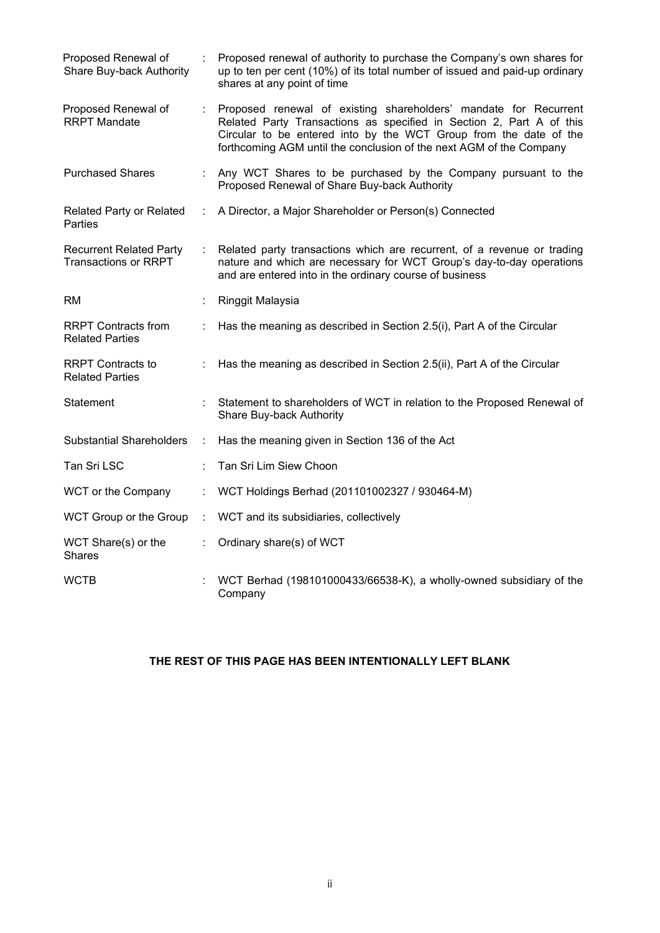| Proposed Renewal of<br>Share Buy-back Authority               |                             | Proposed renewal of authority to purchase the Company's own shares for<br>up to ten per cent (10%) of its total number of issued and paid-up ordinary<br>shares at any point of time                                                                                                 |
|---------------------------------------------------------------|-----------------------------|--------------------------------------------------------------------------------------------------------------------------------------------------------------------------------------------------------------------------------------------------------------------------------------|
| Proposed Renewal of<br><b>RRPT Mandate</b>                    | ÷.                          | Proposed renewal of existing shareholders' mandate for Recurrent<br>Related Party Transactions as specified in Section 2, Part A of this<br>Circular to be entered into by the WCT Group from the date of the<br>forthcoming AGM until the conclusion of the next AGM of the Company |
| <b>Purchased Shares</b>                                       |                             | Any WCT Shares to be purchased by the Company pursuant to the<br>Proposed Renewal of Share Buy-back Authority                                                                                                                                                                        |
| <b>Related Party or Related</b><br>Parties                    | ÷                           | A Director, a Major Shareholder or Person(s) Connected                                                                                                                                                                                                                               |
| <b>Recurrent Related Party</b><br><b>Transactions or RRPT</b> | ÷                           | Related party transactions which are recurrent, of a revenue or trading<br>nature and which are necessary for WCT Group's day-to-day operations<br>and are entered into in the ordinary course of business                                                                           |
| <b>RM</b>                                                     |                             | Ringgit Malaysia                                                                                                                                                                                                                                                                     |
| <b>RRPT Contracts from</b><br><b>Related Parties</b>          |                             | Has the meaning as described in Section 2.5(i), Part A of the Circular                                                                                                                                                                                                               |
| <b>RRPT Contracts to</b><br><b>Related Parties</b>            |                             | Has the meaning as described in Section 2.5(ii), Part A of the Circular                                                                                                                                                                                                              |
| Statement                                                     |                             | Statement to shareholders of WCT in relation to the Proposed Renewal of<br>Share Buy-back Authority                                                                                                                                                                                  |
| <b>Substantial Shareholders</b>                               | ÷                           | Has the meaning given in Section 136 of the Act                                                                                                                                                                                                                                      |
| Tan Sri LSC                                                   |                             | Tan Sri Lim Siew Choon                                                                                                                                                                                                                                                               |
| WCT or the Company                                            | ÷.                          | WCT Holdings Berhad (201101002327 / 930464-M)                                                                                                                                                                                                                                        |
| WCT Group or the Group                                        |                             | : WCT and its subsidiaries, collectively                                                                                                                                                                                                                                             |
| WCT Share(s) or the<br><b>Shares</b>                          | $\mathcal{L}^{\mathcal{L}}$ | Ordinary share(s) of WCT                                                                                                                                                                                                                                                             |
| <b>WCTB</b>                                                   |                             | WCT Berhad (198101000433/66538-K), a wholly-owned subsidiary of the<br>Company                                                                                                                                                                                                       |

# **THE REST OF THIS PAGE HAS BEEN INTENTIONALLY LEFT BLANK**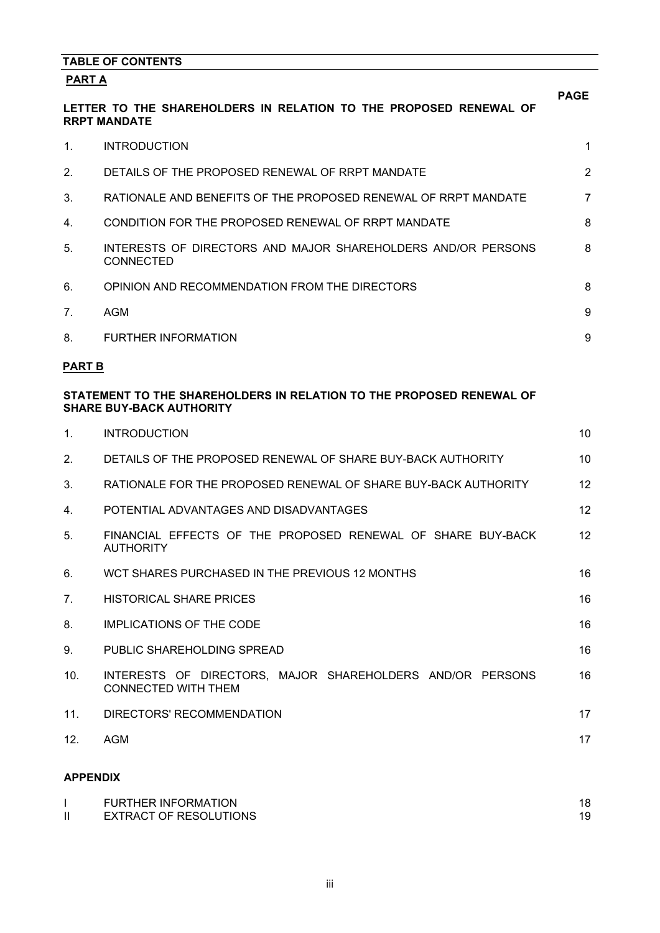|                 | <b>TABLE OF CONTENTS</b>                                                                                |                   |
|-----------------|---------------------------------------------------------------------------------------------------------|-------------------|
| PART A          |                                                                                                         |                   |
|                 | LETTER TO THE SHAREHOLDERS IN RELATION TO THE PROPOSED RENEWAL OF<br><b>RRPT MANDATE</b>                | <b>PAGE</b>       |
| 1.              | <b>INTRODUCTION</b>                                                                                     | 1                 |
| 2.              | DETAILS OF THE PROPOSED RENEWAL OF RRPT MANDATE                                                         | $\overline{2}$    |
| 3.              | RATIONALE AND BENEFITS OF THE PROPOSED RENEWAL OF RRPT MANDATE                                          | 7                 |
| 4.              | CONDITION FOR THE PROPOSED RENEWAL OF RRPT MANDATE                                                      | 8                 |
| 5.              | INTERESTS OF DIRECTORS AND MAJOR SHAREHOLDERS AND/OR PERSONS<br><b>CONNECTED</b>                        | 8                 |
| 6.              | OPINION AND RECOMMENDATION FROM THE DIRECTORS                                                           | 8                 |
| 7.              | <b>AGM</b>                                                                                              | 9                 |
| 8.              | <b>FURTHER INFORMATION</b>                                                                              | 9                 |
| <b>PART B</b>   |                                                                                                         |                   |
|                 | STATEMENT TO THE SHAREHOLDERS IN RELATION TO THE PROPOSED RENEWAL OF<br><b>SHARE BUY-BACK AUTHORITY</b> |                   |
| 1.              | <b>INTRODUCTION</b>                                                                                     | 10                |
| 2.              | DETAILS OF THE PROPOSED RENEWAL OF SHARE BUY-BACK AUTHORITY                                             | 10                |
| 3.              | RATIONALE FOR THE PROPOSED RENEWAL OF SHARE BUY-BACK AUTHORITY                                          | 12                |
| 4.              | POTENTIAL ADVANTAGES AND DISADVANTAGES                                                                  | $12 \overline{ }$ |
| 5.              | FINANCIAL EFFECTS OF THE PROPOSED RENEWAL OF SHARE BUY-BACK<br><b>AUTHORITY</b>                         | 12                |
| 6.              | WCT SHARES PURCHASED IN THE PREVIOUS 12 MONTHS                                                          | 16                |
| 7 <sub>1</sub>  | <b>HISTORICAL SHARE PRICES</b>                                                                          | 16                |
| 8.              | <b>IMPLICATIONS OF THE CODE</b>                                                                         | 16                |
| 9.              | PUBLIC SHAREHOLDING SPREAD                                                                              | 16                |
| 10.             | INTERESTS OF DIRECTORS, MAJOR SHAREHOLDERS AND/OR PERSONS<br><b>CONNECTED WITH THEM</b>                 | 16                |
| 11.             | DIRECTORS' RECOMMENDATION                                                                               | 17                |
| 12.             | <b>AGM</b>                                                                                              | 17                |
| <b>APPENDIX</b> |                                                                                                         |                   |

| <b>FURTHER INFORMATION</b>    |  |
|-------------------------------|--|
| <b>EXTRACT OF RESOLUTIONS</b> |  |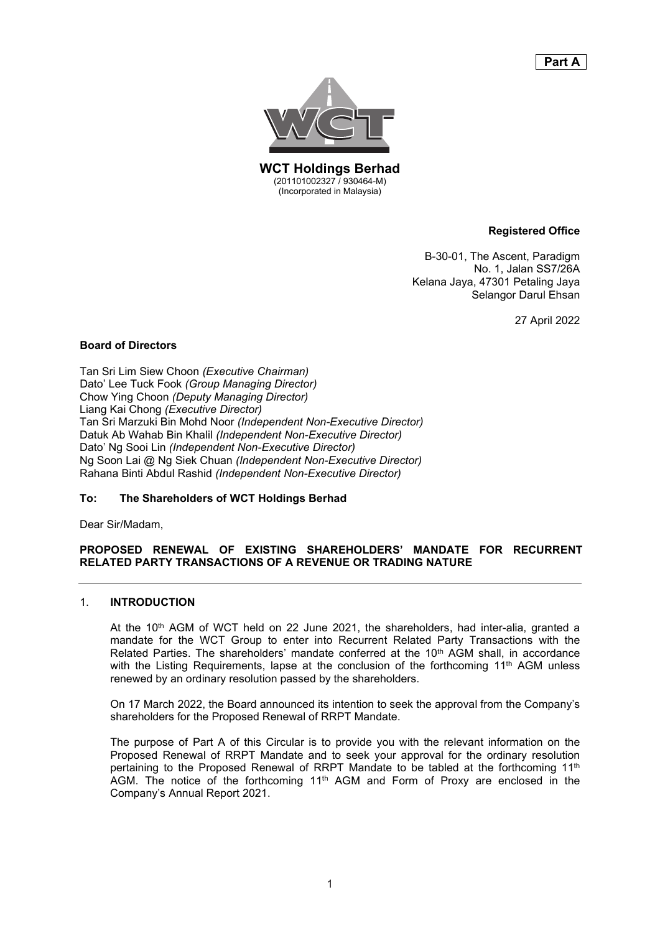# **Part A Part A**



**WCT Holdings Berhad WCT Holdings Berhad** (201101002327 / 930464-M) (201101002327 / 930464-M) (Incorporated in Malaysia) (Incorporated in Malaysia)

#### **Registered Office Registered Office**

B-30-01, The Ascent, Paradigm B-30-01, The Ascent, Paradigm No. 1, Jalan SS7/26A No. 1, Jalan SS7/26A Kelana Jaya, 47301 Petaling Jaya Kelana Jaya, 47301 Petaling Jaya Selangor Darul Ehsan Selangor Darul Ehsan

27 April 2022 27 April 2022

#### **Board of Directors Board of Directors**

Tan Sri Lim Siew Choon *(Executive Chairman)* Tan Sri Lim Siew Choon *(Executive Chairman)* Dato' Lee Tuck Fook *(Group Managing Director)* Dato' Lee Tuck Fook *(Group Managing Director)* Chow Ying Choon *(Deputy Managing Director)* Chow Ying Choon *(Deputy Managing Director)* Liang Kai Chong *(Executive Director)* Liang Kai Chong *(Executive Director)* Tan Sri Marzuki Bin Mohd Noor *(Independent Non-Executive Director)* Tan Sri Marzuki Bin Mohd Noor *(Independent Non-Executive Director)* Datuk Ab Wahab Bin Khalil *(Independent Non-Executive Director)* Datuk Ab Wahab Bin Khalil *(Independent Non-Executive Director)* Dato' Ng Sooi Lin *(Independent Non-Executive Director)* Dato' Ng Sooi Lin *(Independent Non-Executive Director)* Ng Soon Lai @ Ng Siek Chuan *(Independent Non-Executive Director)* Ng Soon Lai @ Ng Siek Chuan *(Independent Non-Executive Director)* Rahana Binti Abdul Rashid *(Independent Non-Executive Director)* Rahana Binti Abdul Rashid *(Independent Non-Executive Director)*

# **To: The Shareholders of WCT Holdings Berhad To: The Shareholders of WCT Holdings Berhad**

Dear Sir/Madam, Dear Sir/Madam,

#### **PROPOSED RENEWAL OF EXISTING SHAREHOLDERS' MANDATE FOR RECURRENT PROPOSED RENEWAL OF EXISTING SHAREHOLDERS' MANDATE FOR RECURRENT RELATED PARTY TRANSACTIONS OF A REVENUE OR TRADING NATURE RELATED PARTY TRANSACTIONS OF A REVENUE OR TRADING NATURE**

#### 1. **INTRODUCTION** 1. **INTRODUCTION**

At the 10<sup>th</sup> AGM of WCT held on 22 June 2021, the shareholders, had inter-alia, granted a mandate for the WCT Group to enter into Recurrent Related Party Transactions with the mandate for the WCT Group to enter into Recurrent Related Party Transactions with the Related Parties. The shareholders' mandate conferred at the 10<sup>th</sup> AGM shall, in accordance with the Listing Requirements, lapse at the conclusion of the forthcoming 11th AGM unless with the Listing Requirements, lapse at the conclusion of the forthcoming 11th AGM unless renewed by an ordinary resolution passed by the shareholders. renewed by an ordinary resolution passed by the shareholders.

On 17 March 2022, the Board announced its intention to seek the approval from the Company's On 17 March 2022, the Board announced its intention to seek the approval from the Company's shareholders for the Proposed Renewal of RRPT Mandate. shareholders for the Proposed Renewal of RRPT Mandate.

The purpose of Part A of this Circular is to provide you with the relevant information on the The purpose of Part A of this Circular is to provide you with the relevant information on the Proposed Renewal of RRPT Mandate and to seek your approval for the ordinary resolution Proposed Renewal of RRPT Mandate and to seek your approval for the ordinary resolution pertaining to the Proposed Renewal of RRPT Mandate to be tabled at the forthcoming 11<sup>th</sup> AGM. The notice of the forthcoming 11<sup>th</sup> AGM and Form of Proxy are enclosed in the Company's Annual Report 2021. Company's Annual Report 2021.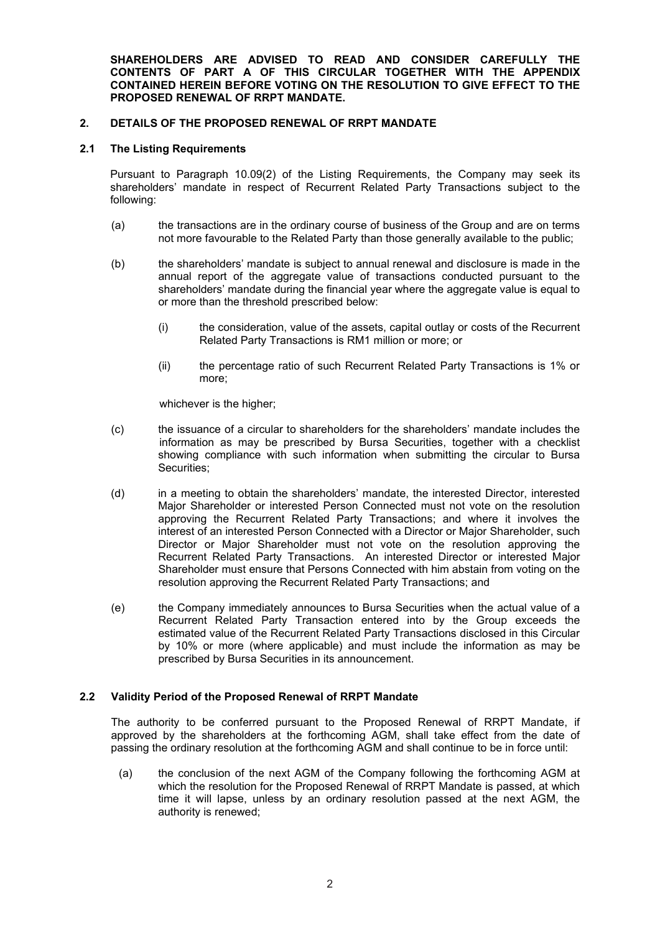**SHAREHOLDERS ARE ADVISED TO READ AND CONSIDER CAREFULLY THE CONTENTS OF PART A OF THIS CIRCULAR TOGETHER WITH THE APPENDIX CONTAINED HEREIN BEFORE VOTING ON THE RESOLUTION TO GIVE EFFECT TO THE PROPOSED RENEWAL OF RRPT MANDATE.**

# **2. DETAILS OF THE PROPOSED RENEWAL OF RRPT MANDATE**

#### **2.1 The Listing Requirements**

Pursuant to Paragraph 10.09(2) of the Listing Requirements, the Company may seek its shareholders' mandate in respect of Recurrent Related Party Transactions subject to the following:

- (a) the transactions are in the ordinary course of business of the Group and are on terms not more favourable to the Related Party than those generally available to the public;
- (b) the shareholders' mandate is subject to annual renewal and disclosure is made in the annual report of the aggregate value of transactions conducted pursuant to the shareholders' mandate during the financial year where the aggregate value is equal to or more than the threshold prescribed below:
	- (i) the consideration, value of the assets, capital outlay or costs of the Recurrent Related Party Transactions is RM1 million or more; or
	- (ii) the percentage ratio of such Recurrent Related Party Transactions is 1% or more;

whichever is the higher;

- (c) the issuance of a circular to shareholders for the shareholders' mandate includes the information as may be prescribed by Bursa Securities, together with a checklist showing compliance with such information when submitting the circular to Bursa Securities;
- (d) in a meeting to obtain the shareholders' mandate, the interested Director, interested Major Shareholder or interested Person Connected must not vote on the resolution approving the Recurrent Related Party Transactions; and where it involves the interest of an interested Person Connected with a Director or Major Shareholder, such Director or Major Shareholder must not vote on the resolution approving the Recurrent Related Party Transactions. An interested Director or interested Major Shareholder must ensure that Persons Connected with him abstain from voting on the resolution approving the Recurrent Related Party Transactions; and
- (e) the Company immediately announces to Bursa Securities when the actual value of a Recurrent Related Party Transaction entered into by the Group exceeds the estimated value of the Recurrent Related Party Transactions disclosed in this Circular by 10% or more (where applicable) and must include the information as may be prescribed by Bursa Securities in its announcement.

# **2.2 Validity Period of the Proposed Renewal of RRPT Mandate**

The authority to be conferred pursuant to the Proposed Renewal of RRPT Mandate, if approved by the shareholders at the forthcoming AGM, shall take effect from the date of passing the ordinary resolution at the forthcoming AGM and shall continue to be in force until:

(a) the conclusion of the next AGM of the Company following the forthcoming AGM at which the resolution for the Proposed Renewal of RRPT Mandate is passed, at which time it will lapse, unless by an ordinary resolution passed at the next AGM, the authority is renewed;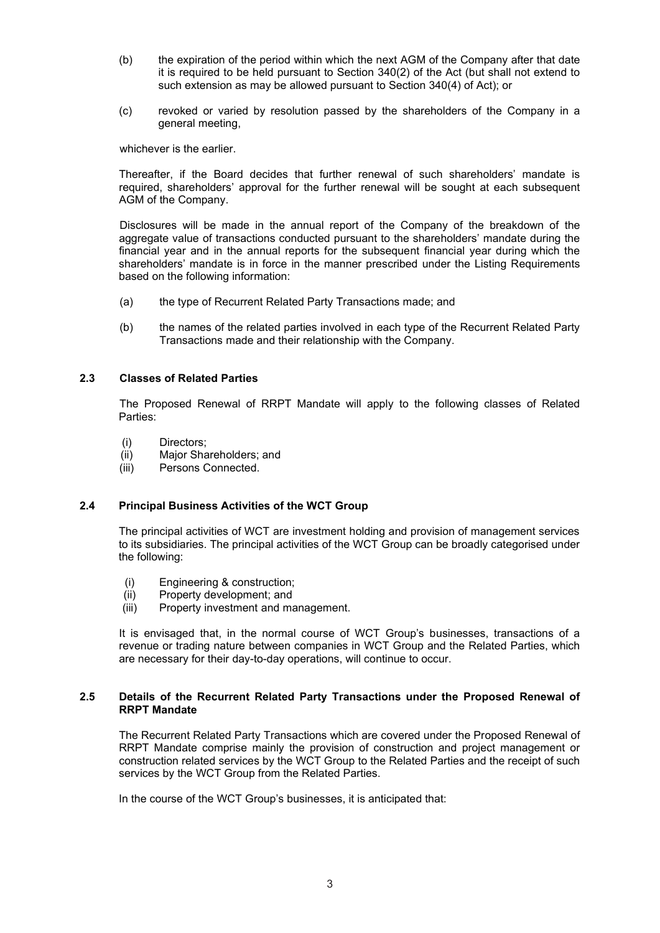- (b) the expiration of the period within which the next AGM of the Company after that date it is required to be held pursuant to Section 340(2) of the Act (but shall not extend to such extension as may be allowed pursuant to Section 340(4) of Act); or
- (c) revoked or varied by resolution passed by the shareholders of the Company in a general meeting,

whichever is the earlier.

Thereafter, if the Board decides that further renewal of such shareholders' mandate is required, shareholders' approval for the further renewal will be sought at each subsequent AGM of the Company.

Disclosures will be made in the annual report of the Company of the breakdown of the aggregate value of transactions conducted pursuant to the shareholders' mandate during the financial year and in the annual reports for the subsequent financial year during which the shareholders' mandate is in force in the manner prescribed under the Listing Requirements based on the following information:

- (a) the type of Recurrent Related Party Transactions made; and
- (b) the names of the related parties involved in each type of the Recurrent Related Party Transactions made and their relationship with the Company.

# **2.3 Classes of Related Parties**

The Proposed Renewal of RRPT Mandate will apply to the following classes of Related Parties:

- (i) Directors;<br>(ii) Major Sha
- Major Shareholders; and
- (iii) Persons Connected.

#### **2.4 Principal Business Activities of the WCT Group**

The principal activities of WCT are investment holding and provision of management services to its subsidiaries. The principal activities of the WCT Group can be broadly categorised under the following:

- (i) Engineering & construction;<br>(ii) Property development: and
- (ii) Property development; and<br>(iii) Property investment and ma
- Property investment and management.

It is envisaged that, in the normal course of WCT Group's businesses, transactions of a revenue or trading nature between companies in WCT Group and the Related Parties, which are necessary for their day-to-day operations, will continue to occur.

#### **2.5 Details of the Recurrent Related Party Transactions under the Proposed Renewal of RRPT Mandate**

The Recurrent Related Party Transactions which are covered under the Proposed Renewal of RRPT Mandate comprise mainly the provision of construction and project management or construction related services by the WCT Group to the Related Parties and the receipt of such services by the WCT Group from the Related Parties.

In the course of the WCT Group's businesses, it is anticipated that: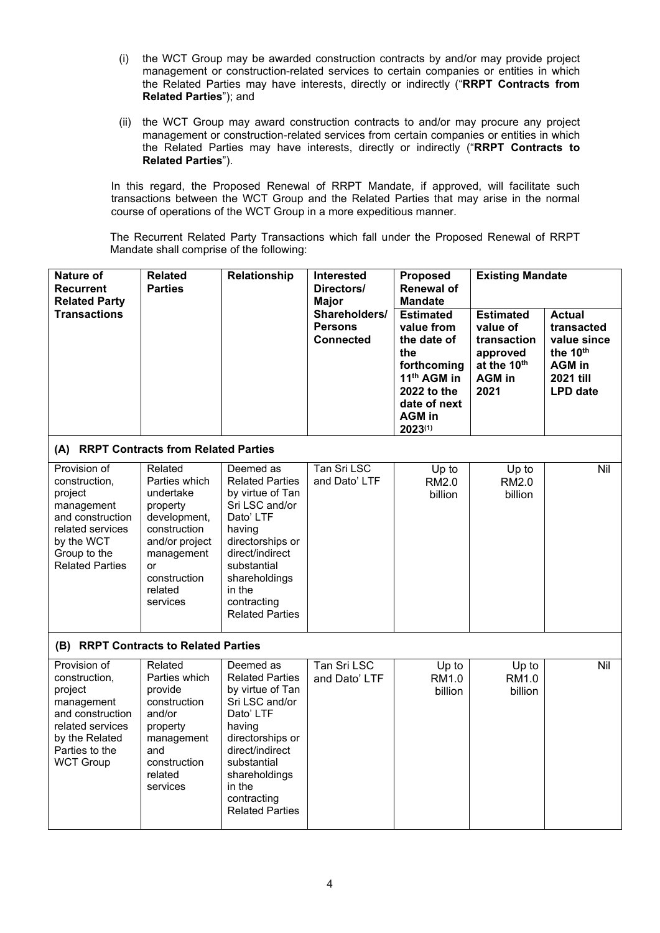- (i) the WCT Group may be awarded construction contracts by and/or may provide project management or construction-related services to certain companies or entities in which the Related Parties may have interests, directly or indirectly ("**RRPT Contracts from Related Parties**"); and
- (ii) the WCT Group may award construction contracts to and/or may procure any project management or construction-related services from certain companies or entities in which the Related Parties may have interests, directly or indirectly ("**RRPT Contracts to Related Parties**").

In this regard, the Proposed Renewal of RRPT Mandate, if approved, will facilitate such transactions between the WCT Group and the Related Parties that may arise in the normal course of operations of the WCT Group in a more expeditious manner.

The Recurrent Related Party Transactions which fall under the Proposed Renewal of RRPT Mandate shall comprise of the following:

| <b>Nature of</b><br><b>Recurrent</b><br><b>Related Party</b>                                                                                           | <b>Related</b><br><b>Parties</b>                                                                                                                                      | Relationship                                                                                                                                                                                                               | <b>Interested</b><br>Directors/<br><b>Major</b>     | Proposed<br><b>Renewal of</b><br><b>Mandate</b>                                                                                                           | <b>Existing Mandate</b>                                                                         |                                                                                                                     |
|--------------------------------------------------------------------------------------------------------------------------------------------------------|-----------------------------------------------------------------------------------------------------------------------------------------------------------------------|----------------------------------------------------------------------------------------------------------------------------------------------------------------------------------------------------------------------------|-----------------------------------------------------|-----------------------------------------------------------------------------------------------------------------------------------------------------------|-------------------------------------------------------------------------------------------------|---------------------------------------------------------------------------------------------------------------------|
| <b>Transactions</b>                                                                                                                                    |                                                                                                                                                                       |                                                                                                                                                                                                                            | Shareholders/<br><b>Persons</b><br><b>Connected</b> | <b>Estimated</b><br>value from<br>the date of<br>the<br>forthcoming<br>11 <sup>th</sup> AGM in<br>2022 to the<br>date of next<br><b>AGM</b> in<br>2023(1) | <b>Estimated</b><br>value of<br>transaction<br>approved<br>at the 10th<br><b>AGM in</b><br>2021 | <b>Actual</b><br>transacted<br>value since<br>the 10 <sup>th</sup><br><b>AGM</b> in<br>2021 till<br><b>LPD</b> date |
| (A) RRPT Contracts from Related Parties                                                                                                                |                                                                                                                                                                       |                                                                                                                                                                                                                            |                                                     |                                                                                                                                                           |                                                                                                 |                                                                                                                     |
| Provision of<br>construction,<br>project<br>management<br>and construction<br>related services<br>by the WCT<br>Group to the<br><b>Related Parties</b> | Related<br>Parties which<br>undertake<br>property<br>development,<br>construction<br>and/or project<br>management<br><b>or</b><br>construction<br>related<br>services | Deemed as<br><b>Related Parties</b><br>by virtue of Tan<br>Sri LSC and/or<br>Dato' LTF<br>having<br>directorships or<br>direct/indirect<br>substantial<br>shareholdings<br>in the<br>contracting<br><b>Related Parties</b> | Tan Sri LSC<br>and Dato' LTF                        | Up to<br><b>RM2.0</b><br>billion                                                                                                                          | Up to<br>RM2.0<br>billion                                                                       | Nil                                                                                                                 |
| (B) RRPT Contracts to Related Parties                                                                                                                  |                                                                                                                                                                       |                                                                                                                                                                                                                            |                                                     |                                                                                                                                                           |                                                                                                 |                                                                                                                     |
| Provision of<br>construction,<br>project<br>management<br>and construction<br>related services<br>by the Related<br>Parties to the<br><b>WCT Group</b> | Related<br>Parties which<br>provide<br>construction<br>and/or<br>property<br>management<br>and<br>construction<br>related<br>services                                 | Deemed as<br><b>Related Parties</b><br>by virtue of Tan<br>Sri LSC and/or<br>Dato' LTF<br>having<br>directorships or<br>direct/indirect<br>substantial<br>shareholdings<br>in the<br>contracting<br><b>Related Parties</b> | Tan Sri LSC<br>and Dato' LTF                        | Up to<br>RM1.0<br>billion                                                                                                                                 | Up to<br>RM1.0<br>billion                                                                       | Nil                                                                                                                 |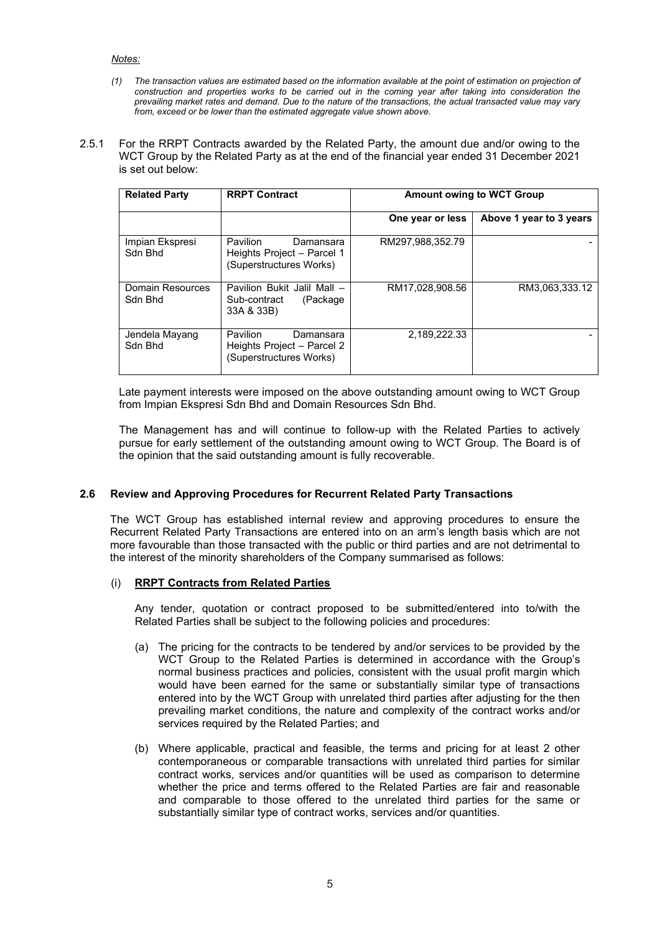#### *Notes:*

- *(1) The transaction values are estimated based on the information available at the point of estimation on projection of construction and properties works to be carried out in the coming year after taking into consideration the prevailing market rates and demand. Due to the nature of the transactions, the actual transacted value may vary from, exceed or be lower than the estimated aggregate value shown above.*
- 2.5.1 For the RRPT Contracts awarded by the Related Party, the amount due and/or owing to the WCT Group by the Related Party as at the end of the financial year ended 31 December 2021 is set out below:

| <b>Related Party</b>        | <b>RRPT Contract</b>                                                                  |                  | <b>Amount owing to WCT Group</b> |
|-----------------------------|---------------------------------------------------------------------------------------|------------------|----------------------------------|
|                             |                                                                                       |                  |                                  |
|                             |                                                                                       | One year or less | Above 1 year to 3 years          |
| Impian Ekspresi<br>Sdn Bhd  | <b>Pavilion</b><br>Damansara<br>Heights Project - Parcel 1<br>(Superstructures Works) | RM297.988.352.79 |                                  |
| Domain Resources<br>Sdn Bhd | Pavilion Bukit Jalil Mall -<br>(Package<br>Sub-contract<br>33A & 33B)                 | RM17.028.908.56  | RM3.063.333.12                   |
| Jendela Mayang<br>Sdn Bhd   | <b>Pavilion</b><br>Damansara<br>Heights Project - Parcel 2<br>(Superstructures Works) | 2,189,222.33     |                                  |

Late payment interests were imposed on the above outstanding amount owing to WCT Group from Impian Ekspresi Sdn Bhd and Domain Resources Sdn Bhd.

The Management has and will continue to follow-up with the Related Parties to actively pursue for early settlement of the outstanding amount owing to WCT Group. The Board is of the opinion that the said outstanding amount is fully recoverable.

# **2.6 Review and Approving Procedures for Recurrent Related Party Transactions**

The WCT Group has established internal review and approving procedures to ensure the Recurrent Related Party Transactions are entered into on an arm's length basis which are not more favourable than those transacted with the public or third parties and are not detrimental to the interest of the minority shareholders of the Company summarised as follows:

#### (i) **RRPT Contracts from Related Parties**

Any tender, quotation or contract proposed to be submitted/entered into to/with the Related Parties shall be subject to the following policies and procedures:

- (a) The pricing for the contracts to be tendered by and/or services to be provided by the WCT Group to the Related Parties is determined in accordance with the Group's normal business practices and policies, consistent with the usual profit margin which would have been earned for the same or substantially similar type of transactions entered into by the WCT Group with unrelated third parties after adjusting for the then prevailing market conditions, the nature and complexity of the contract works and/or services required by the Related Parties; and
- (b) Where applicable, practical and feasible, the terms and pricing for at least 2 other contemporaneous or comparable transactions with unrelated third parties for similar contract works, services and/or quantities will be used as comparison to determine whether the price and terms offered to the Related Parties are fair and reasonable and comparable to those offered to the unrelated third parties for the same or substantially similar type of contract works, services and/or quantities.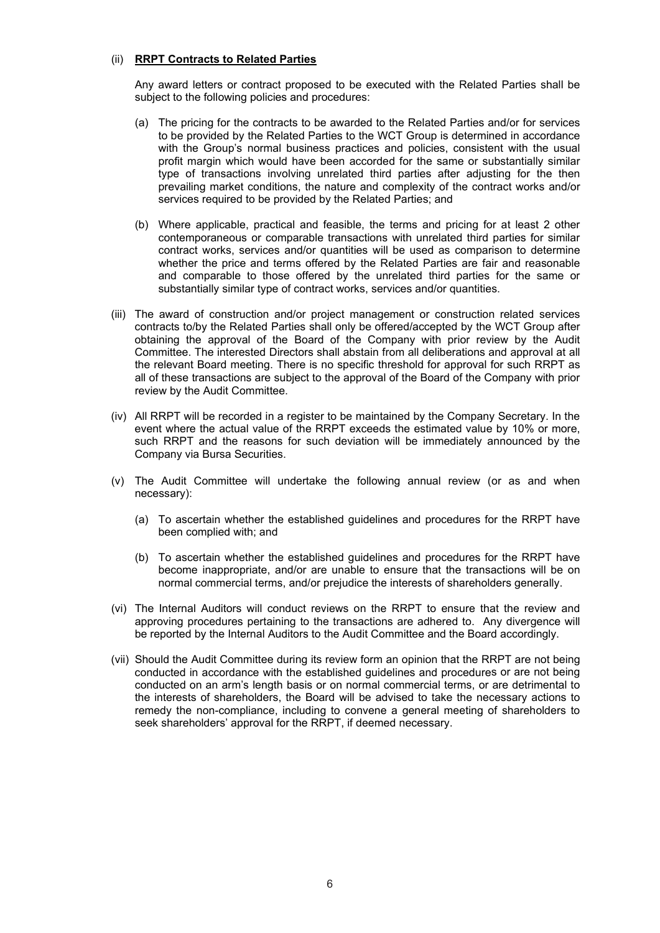#### (ii) **RRPT Contracts to Related Parties**

Any award letters or contract proposed to be executed with the Related Parties shall be subject to the following policies and procedures:

- (a) The pricing for the contracts to be awarded to the Related Parties and/or for services to be provided by the Related Parties to the WCT Group is determined in accordance with the Group's normal business practices and policies, consistent with the usual profit margin which would have been accorded for the same or substantially similar type of transactions involving unrelated third parties after adjusting for the then prevailing market conditions, the nature and complexity of the contract works and/or services required to be provided by the Related Parties; and
- (b) Where applicable, practical and feasible, the terms and pricing for at least 2 other contemporaneous or comparable transactions with unrelated third parties for similar contract works, services and/or quantities will be used as comparison to determine whether the price and terms offered by the Related Parties are fair and reasonable and comparable to those offered by the unrelated third parties for the same or substantially similar type of contract works, services and/or quantities.
- (iii) The award of construction and/or project management or construction related services contracts to/by the Related Parties shall only be offered/accepted by the WCT Group after obtaining the approval of the Board of the Company with prior review by the Audit Committee. The interested Directors shall abstain from all deliberations and approval at all the relevant Board meeting. There is no specific threshold for approval for such RRPT as all of these transactions are subject to the approval of the Board of the Company with prior review by the Audit Committee.
- (iv) All RRPT will be recorded in a register to be maintained by the Company Secretary. In the event where the actual value of the RRPT exceeds the estimated value by 10% or more, such RRPT and the reasons for such deviation will be immediately announced by the Company via Bursa Securities.
- (v) The Audit Committee will undertake the following annual review (or as and when necessary):
	- (a) To ascertain whether the established guidelines and procedures for the RRPT have been complied with; and
	- (b) To ascertain whether the established guidelines and procedures for the RRPT have become inappropriate, and/or are unable to ensure that the transactions will be on normal commercial terms, and/or prejudice the interests of shareholders generally.
- (vi) The Internal Auditors will conduct reviews on the RRPT to ensure that the review and approving procedures pertaining to the transactions are adhered to. Any divergence will be reported by the Internal Auditors to the Audit Committee and the Board accordingly.
- (vii) Should the Audit Committee during its review form an opinion that the RRPT are not being conducted in accordance with the established guidelines and procedures or are not being conducted on an arm's length basis or on normal commercial terms, or are detrimental to the interests of shareholders, the Board will be advised to take the necessary actions to remedy the non-compliance, including to convene a general meeting of shareholders to seek shareholders' approval for the RRPT, if deemed necessary.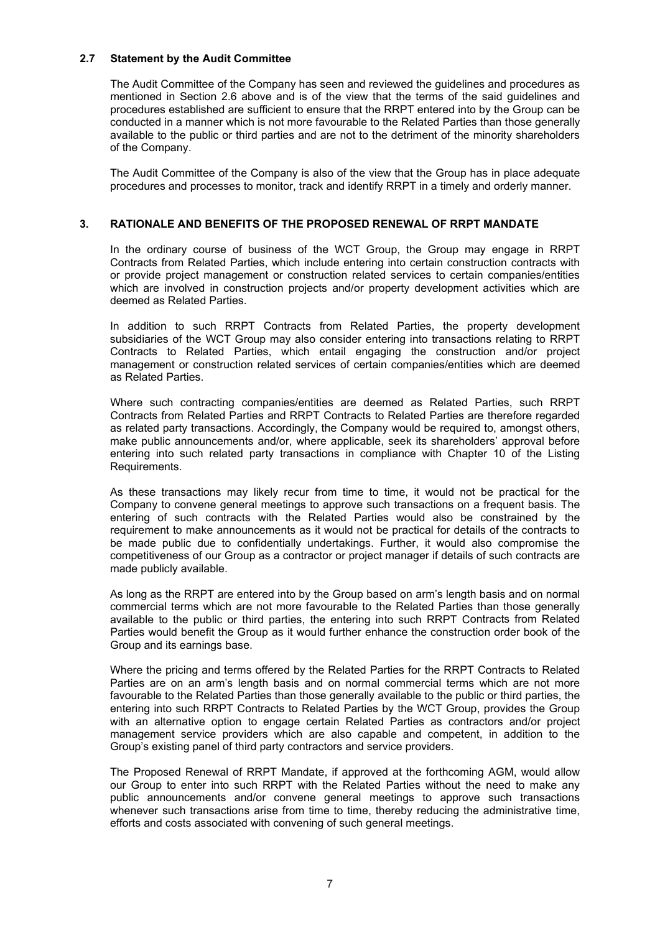### **2.7 Statement by the Audit Committee**

The Audit Committee of the Company has seen and reviewed the guidelines and procedures as mentioned in Section 2.6 above and is of the view that the terms of the said guidelines and procedures established are sufficient to ensure that the RRPT entered into by the Group can be conducted in a manner which is not more favourable to the Related Parties than those generally available to the public or third parties and are not to the detriment of the minority shareholders of the Company.

The Audit Committee of the Company is also of the view that the Group has in place adequate procedures and processes to monitor, track and identify RRPT in a timely and orderly manner.

#### **3. RATIONALE AND BENEFITS OF THE PROPOSED RENEWAL OF RRPT MANDATE**

In the ordinary course of business of the WCT Group, the Group may engage in RRPT Contracts from Related Parties, which include entering into certain construction contracts with or provide project management or construction related services to certain companies/entities which are involved in construction projects and/or property development activities which are deemed as Related Parties.

In addition to such RRPT Contracts from Related Parties, the property development subsidiaries of the WCT Group may also consider entering into transactions relating to RRPT Contracts to Related Parties, which entail engaging the construction and/or project management or construction related services of certain companies/entities which are deemed as Related Parties.

Where such contracting companies/entities are deemed as Related Parties, such RRPT Contracts from Related Parties and RRPT Contracts to Related Parties are therefore regarded as related party transactions. Accordingly, the Company would be required to, amongst others, make public announcements and/or, where applicable, seek its shareholders' approval before entering into such related party transactions in compliance with Chapter 10 of the Listing Requirements.

As these transactions may likely recur from time to time, it would not be practical for the Company to convene general meetings to approve such transactions on a frequent basis. The entering of such contracts with the Related Parties would also be constrained by the requirement to make announcements as it would not be practical for details of the contracts to be made public due to confidentially undertakings. Further, it would also compromise the competitiveness of our Group as a contractor or project manager if details of such contracts are made publicly available.

As long as the RRPT are entered into by the Group based on arm's length basis and on normal commercial terms which are not more favourable to the Related Parties than those generally available to the public or third parties, the entering into such RRPT Contracts from Related Parties would benefit the Group as it would further enhance the construction order book of the Group and its earnings base.

Where the pricing and terms offered by the Related Parties for the RRPT Contracts to Related Parties are on an arm's length basis and on normal commercial terms which are not more favourable to the Related Parties than those generally available to the public or third parties, the entering into such RRPT Contracts to Related Parties by the WCT Group, provides the Group with an alternative option to engage certain Related Parties as contractors and/or project management service providers which are also capable and competent, in addition to the Group's existing panel of third party contractors and service providers.

The Proposed Renewal of RRPT Mandate, if approved at the forthcoming AGM, would allow our Group to enter into such RRPT with the Related Parties without the need to make any public announcements and/or convene general meetings to approve such transactions whenever such transactions arise from time to time, thereby reducing the administrative time, efforts and costs associated with convening of such general meetings.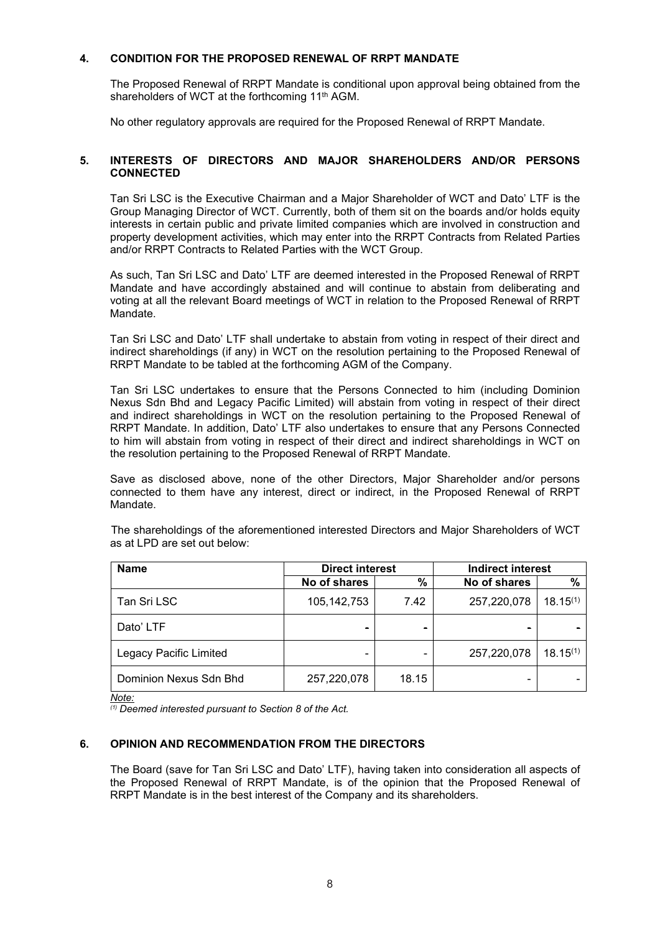#### **4. CONDITION FOR THE PROPOSED RENEWAL OF RRPT MANDATE**

The Proposed Renewal of RRPT Mandate is conditional upon approval being obtained from the shareholders of WCT at the forthcoming 11<sup>th</sup> AGM.

No other regulatory approvals are required for the Proposed Renewal of RRPT Mandate.

# **5. INTERESTS OF DIRECTORS AND MAJOR SHAREHOLDERS AND/OR PERSONS CONNECTED**

Tan Sri LSC is the Executive Chairman and a Major Shareholder of WCT and Dato' LTF is the Group Managing Director of WCT. Currently, both of them sit on the boards and/or holds equity interests in certain public and private limited companies which are involved in construction and property development activities, which may enter into the RRPT Contracts from Related Parties and/or RRPT Contracts to Related Parties with the WCT Group.

As such, Tan Sri LSC and Dato' LTF are deemed interested in the Proposed Renewal of RRPT Mandate and have accordingly abstained and will continue to abstain from deliberating and voting at all the relevant Board meetings of WCT in relation to the Proposed Renewal of RRPT **Mandate** 

Tan Sri LSC and Dato' LTF shall undertake to abstain from voting in respect of their direct and indirect shareholdings (if any) in WCT on the resolution pertaining to the Proposed Renewal of RRPT Mandate to be tabled at the forthcoming AGM of the Company.

Tan Sri LSC undertakes to ensure that the Persons Connected to him (including Dominion Nexus Sdn Bhd and Legacy Pacific Limited) will abstain from voting in respect of their direct and indirect shareholdings in WCT on the resolution pertaining to the Proposed Renewal of RRPT Mandate. In addition, Dato' LTF also undertakes to ensure that any Persons Connected to him will abstain from voting in respect of their direct and indirect shareholdings in WCT on the resolution pertaining to the Proposed Renewal of RRPT Mandate.

Save as disclosed above, none of the other Directors, Major Shareholder and/or persons connected to them have any interest, direct or indirect, in the Proposed Renewal of RRPT Mandate.

| <b>Name</b>            | <b>Direct interest</b> |       | <b>Indirect interest</b> |               |
|------------------------|------------------------|-------|--------------------------|---------------|
|                        | No of shares           | %     | No of shares             | %             |
| Tan Sri LSC            | 105, 142, 753          | 7.42  | 257,220,078              | $18.15^{(1)}$ |
| Dato' LTF              | $\blacksquare$         |       |                          |               |
| Legacy Pacific Limited | -                      |       | 257,220,078              | $18.15^{(1)}$ |
| Dominion Nexus Sdn Bhd | 257,220,078            | 18.15 |                          |               |

The shareholdings of the aforementioned interested Directors and Major Shareholders of WCT as at LPD are set out below:

*Note:*

*(1) Deemed interested pursuant to Section 8 of the Act.*

#### **6. OPINION AND RECOMMENDATION FROM THE DIRECTORS**

The Board (save for Tan Sri LSC and Dato' LTF), having taken into consideration all aspects of the Proposed Renewal of RRPT Mandate, is of the opinion that the Proposed Renewal of RRPT Mandate is in the best interest of the Company and its shareholders.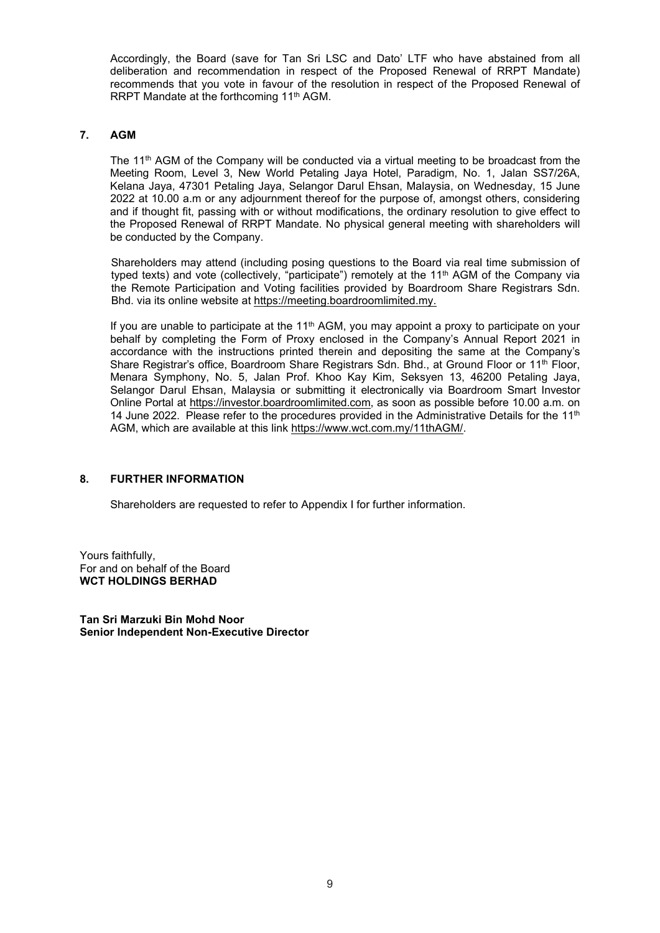Accordingly, the Board (save for Tan Sri LSC and Dato' LTF who have abstained from all deliberation and recommendation in respect of the Proposed Renewal of RRPT Mandate) recommends that you vote in favour of the resolution in respect of the Proposed Renewal of RRPT Mandate at the forthcoming 11<sup>th</sup> AGM.

# **7. AGM**

The 11<sup>th</sup> AGM of the Company will be conducted via a virtual meeting to be broadcast from the Meeting Room, Level 3, New World Petaling Jaya Hotel, Paradigm, No. 1, Jalan SS7/26A, Kelana Jaya, 47301 Petaling Jaya, Selangor Darul Ehsan, Malaysia, on Wednesday, 15 June 2022 at 10.00 a.m or any adjournment thereof for the purpose of, amongst others, considering and if thought fit, passing with or without modifications, the ordinary resolution to give effect to the Proposed Renewal of RRPT Mandate. No physical general meeting with shareholders will be conducted by the Company.

Shareholders may attend (including posing questions to the Board via real time submission of typed texts) and vote (collectively, "participate") remotely at the 11<sup>th</sup> AGM of the Company via the Remote Participation and Voting facilities provided by Boardroom Share Registrars Sdn. Bhd. via its online website at https://meeting.boardroomlimited.my.

If you are unable to participate at the 11<sup>th</sup> AGM, you may appoint a proxy to participate on your behalf by completing the Form of Proxy enclosed in the Company's Annual Report 2021 in accordance with the instructions printed therein and depositing the same at the Company's Share Registrar's office, Boardroom Share Registrars Sdn. Bhd., at Ground Floor or 11<sup>th</sup> Floor, Menara Symphony, No. 5, Jalan Prof. Khoo Kay Kim, Seksyen 13, 46200 Petaling Jaya, Selangor Darul Ehsan, Malaysia or submitting it electronically via Boardroom Smart Investor Online Portal at https://investor.boardroomlimited.com, as soon as possible before 10.00 a.m. on 14 June 2022. Please refer to the procedures provided in the Administrative Details for the  $11<sup>th</sup>$ AGM, which are available at this link https://www.wct.com.my/11thAGM/.

# **8. FURTHER INFORMATION**

Shareholders are requested to refer to Appendix I for further information.

Yours faithfully, For and on behalf of the Board **WCT HOLDINGS BERHAD**

**Tan Sri Marzuki Bin Mohd Noor Senior Independent Non-Executive Director**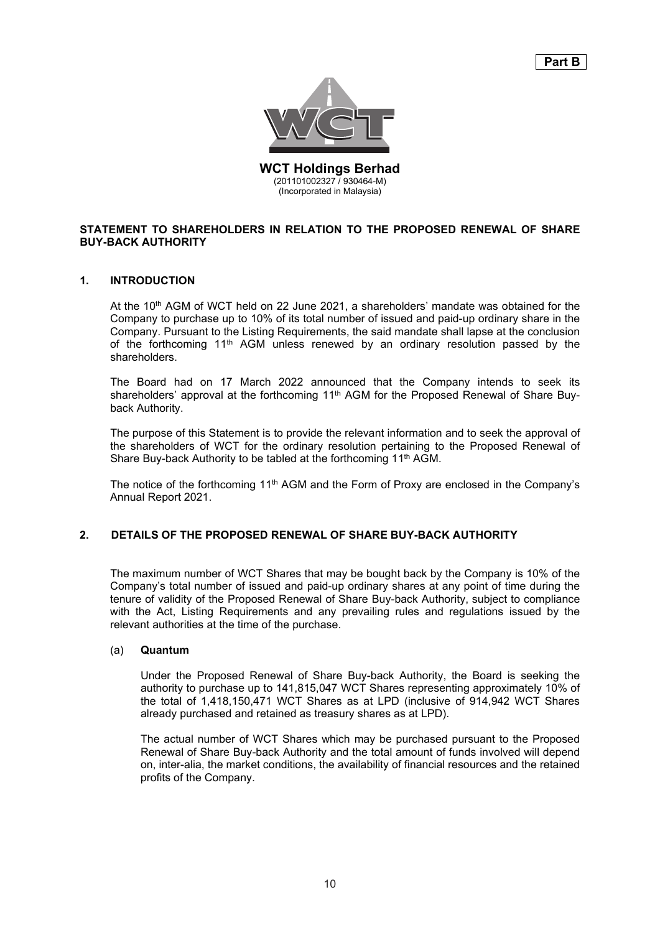

**WCT Holdings Berhad** (201101002327 / 930464-M) **WCT Holdings Berhad** (Incorporated in Malaysia)

# **STATEMENT TO SHAREHOLDERS IN RELATION TO THE PROPOSED RENEWAL OF SHARE BUY-BACK AUTHORITY STATEMENT TO SHAREHOLDERS IN A SHARE ASSESSED REPORT OF SHARE ASSESSED REPORT OF SHARE ASSESSED REPORT OF SHARE ASSESSED FOR SHARE ASSESSED FOR SHARE ASSESSED FOR SHARE ASSESSED FOR SHARE ASSESSED FOR**

#### **1. INTRODUCTION**

At the 10<sup>th</sup> AGM of WCT held on 22 June 2021, a shareholders' mandate was obtained for the Company to purchase up to 10% of its total number of issued and paid-up ordinary share in the Company. Pursuant to the Listing Requirements, the said mandate shall lapse at the conclusion of the forthcoming 11<sup>th</sup> AGM unless renewed by an ordinary resolution passed by the shareholders. of the forthcoming 11th AGM unless renewed by an ordinary resolution passed by an ordinary resolution passed by the forthcoming by the forthcoming passed by the forthcoming by the forthcoming by the forthcoming by the fort

The Board had on 17 March 2022 announced that the Company intends to seek its shareholders' approval at the forthcoming 11<sup>th</sup> AGM for the Proposed Renewal of Share Buyback Authority. In the forthcoming 11th AGM for the forthcoming 11th AGM for the Proposed Renewal of Share Buy-

The purpose of this Statement is to provide the relevant information and to seek the approval of the shareholders of WCT for the ordinary resolution pertaining to the Proposed Renewal of Share Buy-back Authority to be tabled at the forthcoming 11<sup>th</sup> AGM.

The notice of the forthcoming 11th AGM and the Form of Proxy are enclosed in the Company's Annual Report 2021. The forthcoming 11th AGM and the forthcoming 11th AGM and the Form of Proxy are enclosed in the Company's second in the Company's second in the Company's second in the Company's second in the Company's

#### **2. DETAILS OF THE PROPOSED RENEWAL OF SHARE BUY-BACK AUTHORITY**

The maximum number of WCT Shares that may be bought back by the Company is 10% of the Company's total number of issued and paid-up ordinary shares at any point of time during the tenure of validity of the Proposed Renewal of Share Buy-back Authority, subject to compliance with the Act, Listing Requirements and any prevailing rules and regulations issued by the relevant authorities at the time of the purchase.

#### (a) **Quantum**

Under the Proposed Renewal of Share Buy-back Authority, the Board is seeking the authority to purchase up to 141,815,047 WCT Shares representing approximately 10% of the total of 1,418,150,471 WCT Shares as at LPD (inclusive of 914,942 WCT Shares already purchased and retained as treasury shares as at LPD).

The actual number of WCT Shares which may be purchased pursuant to the Proposed Renewal of Share Buy-back Authority and the total amount of funds involved will depend on, inter-alia, the market conditions, the availability of financial resources and the retained profits of the Company.  $\blacksquare$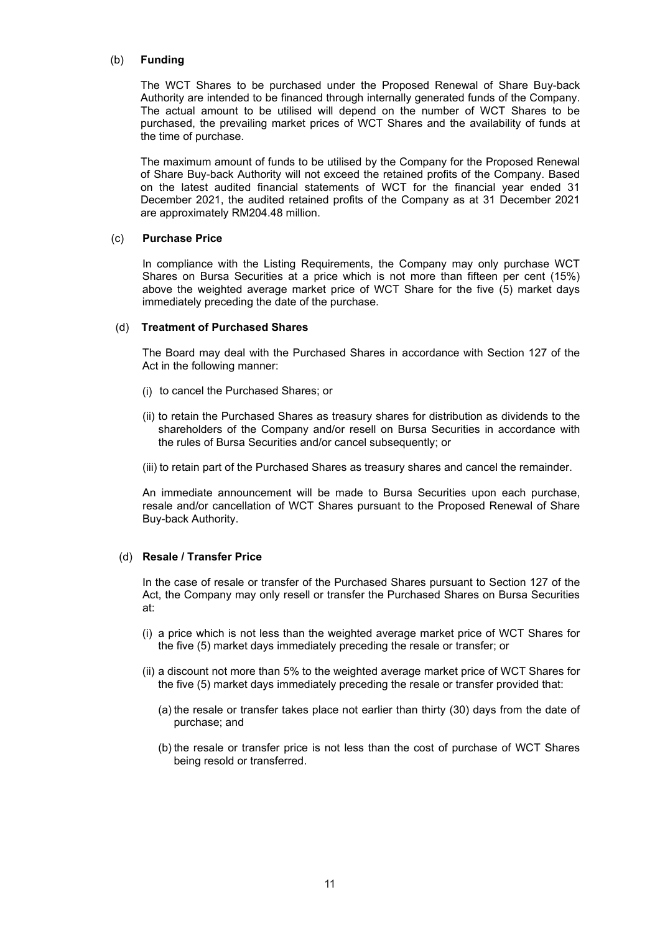#### (b) **Funding**

The WCT Shares to be purchased under the Proposed Renewal of Share Buy-back Authority are intended to be financed through internally generated funds of the Company. The actual amount to be utilised will depend on the number of WCT Shares to be purchased, the prevailing market prices of WCT Shares and the availability of funds at the time of purchase.

The maximum amount of funds to be utilised by the Company for the Proposed Renewal of Share Buy-back Authority will not exceed the retained profits of the Company. Based on the latest audited financial statements of WCT for the financial year ended 31 December 2021, the audited retained profits of the Company as at 31 December 2021 are approximately RM204.48 million.

#### (c) **Purchase Price**

In compliance with the Listing Requirements, the Company may only purchase WCT Shares on Bursa Securities at a price which is not more than fifteen per cent (15%) above the weighted average market price of WCT Share for the five (5) market days immediately preceding the date of the purchase.

#### (d) **Treatment of Purchased Shares**

The Board may deal with the Purchased Shares in accordance with Section 127 of the Act in the following manner:

- (i) to cancel the Purchased Shares; or
- (ii) to retain the Purchased Shares as treasury shares for distribution as dividends to the shareholders of the Company and/or resell on Bursa Securities in accordance with the rules of Bursa Securities and/or cancel subsequently; or
- (iii) to retain part of the Purchased Shares as treasury shares and cancel the remainder.

An immediate announcement will be made to Bursa Securities upon each purchase, resale and/or cancellation of WCT Shares pursuant to the Proposed Renewal of Share Buy-back Authority.

# (d) **Resale / Transfer Price**

In the case of resale or transfer of the Purchased Shares pursuant to Section 127 of the Act, the Company may only resell or transfer the Purchased Shares on Bursa Securities at:

- (i) a price which is not less than the weighted average market price of WCT Shares for the five (5) market days immediately preceding the resale or transfer; or
- (ii) a discount not more than 5% to the weighted average market price of WCT Shares for the five (5) market days immediately preceding the resale or transfer provided that:
	- (a) the resale or transfer takes place not earlier than thirty (30) days from the date of purchase; and
	- (b) the resale or transfer price is not less than the cost of purchase of WCT Shares being resold or transferred.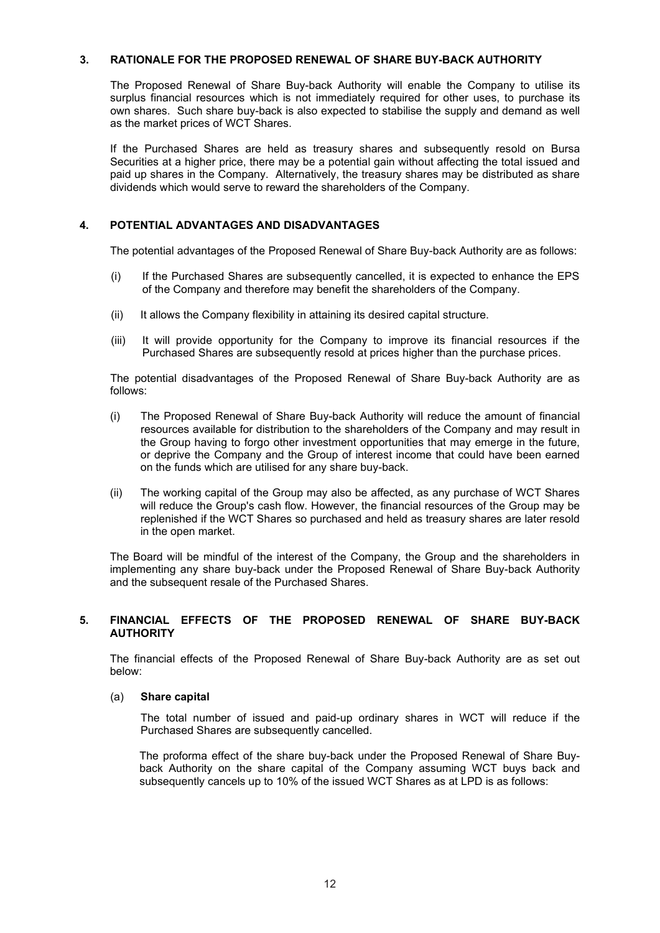#### **3. RATIONALE FOR THE PROPOSED RENEWAL OF SHARE BUY-BACK AUTHORITY**

The Proposed Renewal of Share Buy-back Authority will enable the Company to utilise its surplus financial resources which is not immediately required for other uses, to purchase its own shares. Such share buy-back is also expected to stabilise the supply and demand as well as the market prices of WCT Shares.

If the Purchased Shares are held as treasury shares and subsequently resold on Bursa Securities at a higher price, there may be a potential gain without affecting the total issued and paid up shares in the Company. Alternatively, the treasury shares may be distributed as share dividends which would serve to reward the shareholders of the Company.

# **4. POTENTIAL ADVANTAGES AND DISADVANTAGES**

The potential advantages of the Proposed Renewal of Share Buy-back Authority are as follows:

- (i) If the Purchased Shares are subsequently cancelled, it is expected to enhance the EPS of the Company and therefore may benefit the shareholders of the Company.
- (ii) It allows the Company flexibility in attaining its desired capital structure.
- (iii) It will provide opportunity for the Company to improve its financial resources if the Purchased Shares are subsequently resold at prices higher than the purchase prices.

The potential disadvantages of the Proposed Renewal of Share Buy-back Authority are as follows:

- (i) The Proposed Renewal of Share Buy-back Authority will reduce the amount of financial resources available for distribution to the shareholders of the Company and may result in the Group having to forgo other investment opportunities that may emerge in the future, or deprive the Company and the Group of interest income that could have been earned on the funds which are utilised for any share buy-back.
- (ii) The working capital of the Group may also be affected, as any purchase of WCT Shares will reduce the Group's cash flow. However, the financial resources of the Group may be replenished if the WCT Shares so purchased and held as treasury shares are later resold in the open market.

The Board will be mindful of the interest of the Company, the Group and the shareholders in implementing any share buy-back under the Proposed Renewal of Share Buy-back Authority and the subsequent resale of the Purchased Shares.

#### **5. FINANCIAL EFFECTS OF THE PROPOSED RENEWAL OF SHARE BUY-BACK AUTHORITY**

The financial effects of the Proposed Renewal of Share Buy-back Authority are as set out below:

#### (a) **Share capital**

The total number of issued and paid-up ordinary shares in WCT will reduce if the Purchased Shares are subsequently cancelled.

The proforma effect of the share buy-back under the Proposed Renewal of Share Buyback Authority on the share capital of the Company assuming WCT buys back and subsequently cancels up to 10% of the issued WCT Shares as at LPD is as follows: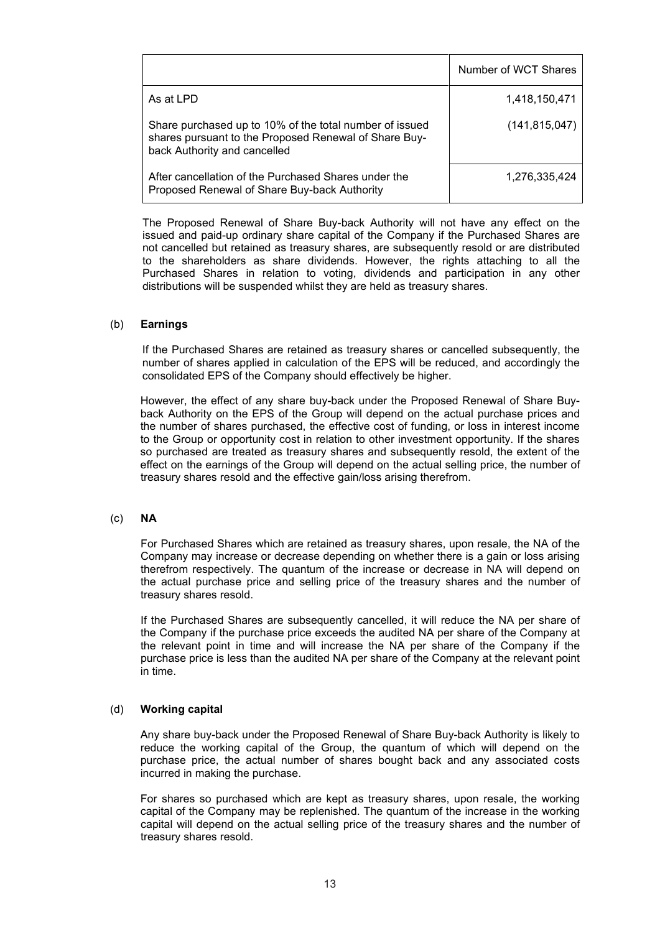|                                                                                                                                                  | Number of WCT Shares |
|--------------------------------------------------------------------------------------------------------------------------------------------------|----------------------|
| As at LPD                                                                                                                                        | 1,418,150,471        |
| Share purchased up to 10% of the total number of issued<br>shares pursuant to the Proposed Renewal of Share Buy-<br>back Authority and cancelled | (141, 815, 047)      |
| After cancellation of the Purchased Shares under the<br>Proposed Renewal of Share Buy-back Authority                                             | 1,276,335,424        |

The Proposed Renewal of Share Buy-back Authority will not have any effect on the issued and paid-up ordinary share capital of the Company if the Purchased Shares are not cancelled but retained as treasury shares, are subsequently resold or are distributed to the shareholders as share dividends. However, the rights attaching to all the Purchased Shares in relation to voting, dividends and participation in any other distributions will be suspended whilst they are held as treasury shares.

#### (b) **Earnings**

If the Purchased Shares are retained as treasury shares or cancelled subsequently, the number of shares applied in calculation of the EPS will be reduced, and accordingly the consolidated EPS of the Company should effectively be higher.

However, the effect of any share buy-back under the Proposed Renewal of Share Buyback Authority on the EPS of the Group will depend on the actual purchase prices and the number of shares purchased, the effective cost of funding, or loss in interest income to the Group or opportunity cost in relation to other investment opportunity. If the shares so purchased are treated as treasury shares and subsequently resold, the extent of the effect on the earnings of the Group will depend on the actual selling price, the number of treasury shares resold and the effective gain/loss arising therefrom.

#### (c) **NA**

For Purchased Shares which are retained as treasury shares, upon resale, the NA of the Company may increase or decrease depending on whether there is a gain or loss arising therefrom respectively. The quantum of the increase or decrease in NA will depend on the actual purchase price and selling price of the treasury shares and the number of treasury shares resold.

If the Purchased Shares are subsequently cancelled, it will reduce the NA per share of the Company if the purchase price exceeds the audited NA per share of the Company at the relevant point in time and will increase the NA per share of the Company if the purchase price is less than the audited NA per share of the Company at the relevant point in time.

#### (d) **Working capital**

Any share buy-back under the Proposed Renewal of Share Buy-back Authority is likely to reduce the working capital of the Group, the quantum of which will depend on the purchase price, the actual number of shares bought back and any associated costs incurred in making the purchase.

For shares so purchased which are kept as treasury shares, upon resale, the working capital of the Company may be replenished. The quantum of the increase in the working capital will depend on the actual selling price of the treasury shares and the number of treasury shares resold.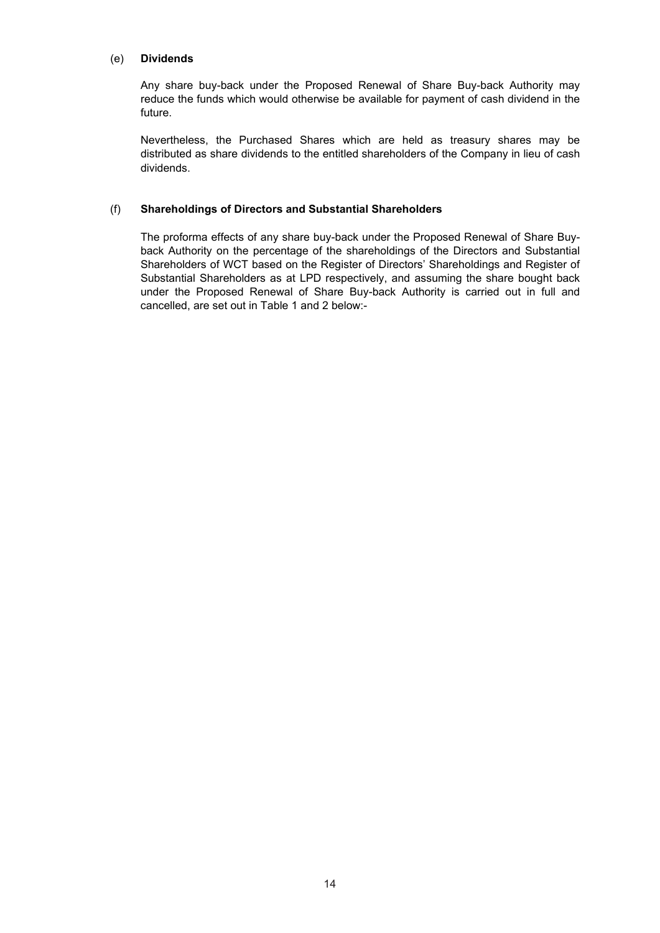# (e) **Dividends**

Any share buy-back under the Proposed Renewal of Share Buy-back Authority may reduce the funds which would otherwise be available for payment of cash dividend in the future.

Nevertheless, the Purchased Shares which are held as treasury shares may be distributed as share dividends to the entitled shareholders of the Company in lieu of cash dividends.

# (f) **Shareholdings of Directors and Substantial Shareholders**

The proforma effects of any share buy-back under the Proposed Renewal of Share Buyback Authority on the percentage of the shareholdings of the Directors and Substantial Shareholders of WCT based on the Register of Directors' Shareholdings and Register of Substantial Shareholders as at LPD respectively, and assuming the share bought back under the Proposed Renewal of Share Buy-back Authority is carried out in full and cancelled, are set out in Table 1 and 2 below:-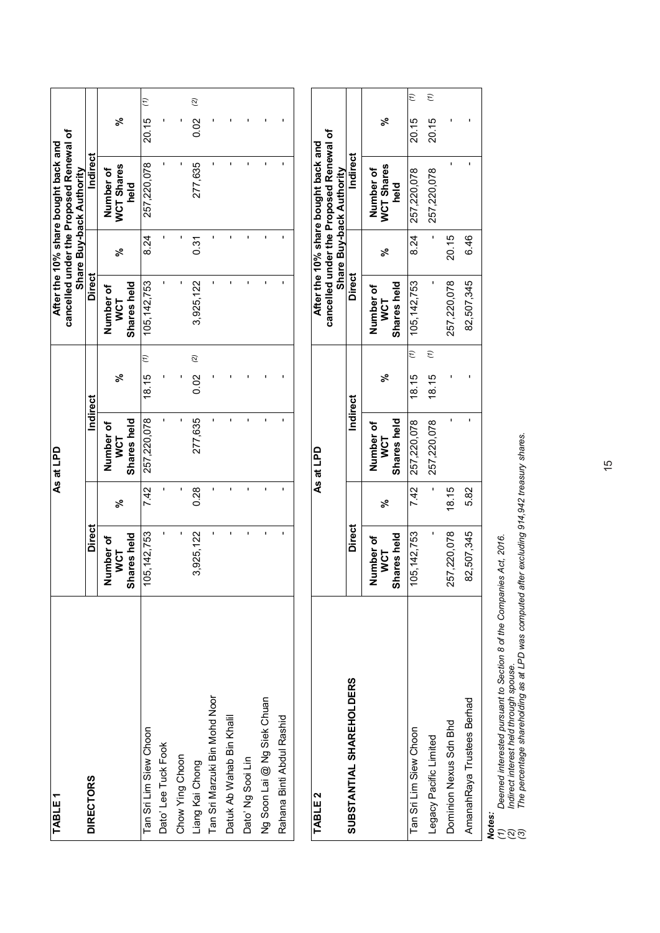| TABLE <sub>1</sub>            |                                        |              | As at LPD                              |       |                    |                                       |      | cancelled under the Proposed Renewal of<br>After the 10% share bought back and<br>Share Buy-back Authority |       |                    |
|-------------------------------|----------------------------------------|--------------|----------------------------------------|-------|--------------------|---------------------------------------|------|------------------------------------------------------------------------------------------------------------|-------|--------------------|
| <b>DIRECTORS</b>              | Direct                                 |              | <b>Indirect</b>                        |       |                    | <b>Direct</b>                         |      | <b>Indirect</b>                                                                                            |       |                    |
|                               | Shares held<br>Number of<br><b>NOT</b> | వ్           | Shares held<br>Number of<br><b>NCT</b> | ಸ್    |                    | Shares held<br>Number of<br><b>US</b> | వ్   | WCT Shares<br>Number of<br>held                                                                            | వ్    |                    |
| Tan Sri Lim Siew Choon        | 105, 142, 753                          | 7.42         | 257,220,078                            | 18.15 | $\widehat{z}$      | 105, 142, 753                         | 8.24 | 257,220,078                                                                                                | 20.15 | $\widehat{z}$      |
| Dato' Lee Tuck Fook           |                                        | ı            |                                        |       |                    | ı                                     |      |                                                                                                            |       |                    |
| Chow Ying Choon               | $\mathbf{I}$                           | ı            |                                        |       |                    | ı                                     |      |                                                                                                            |       |                    |
| Liang Kai Chong               | 3,925,122                              | 0.28         | 277,635                                | 0.02  | $\widehat{\alpha}$ | 3,925,122                             | 0.31 | 277,635                                                                                                    | 0.02  | $\widehat{\omega}$ |
| Tan Sri Marzuki Bin Mohd Noor | ı                                      | ı            |                                        |       |                    | ı                                     |      |                                                                                                            |       |                    |
| Datuk Ab Wahab Bin Khalil     | ı                                      | $\mathbf{I}$ |                                        |       |                    | ı                                     |      |                                                                                                            |       |                    |
| Dato' Ng Sooi Lin             | ı                                      | ı            |                                        |       |                    | ı                                     |      |                                                                                                            |       |                    |
| Ng Soon Lai @ Ng Siek Chuan   | ı                                      | ı            |                                        |       |                    | ı                                     |      |                                                                                                            |       |                    |
| Rahana Binti Abdul Rashid     | ı                                      | ı            |                                        |       |                    | ı                                     |      |                                                                                                            |       |                    |
|                               |                                        |              |                                        |       |                    |                                       |      |                                                                                                            |       |                    |

| TABLE 2                    |                                        |       | As at LPD                              |             |           |                                        |       | cancelled under the Proposed Renewal of<br>After the 10% share bought back and<br>Share Buy-back Authority |       |               |
|----------------------------|----------------------------------------|-------|----------------------------------------|-------------|-----------|----------------------------------------|-------|------------------------------------------------------------------------------------------------------------|-------|---------------|
| SUBSTANTIAL SHAREHOLDERS   | <b>Direct</b>                          |       | <b>Indirect</b>                        |             |           | <b>Direct</b>                          |       | <b>Indirect</b>                                                                                            |       |               |
|                            | Shares held<br>Number of<br><b>VCT</b> | వ్    | Shares held<br>Number of<br><b>WCT</b> | ಸಿ          |           | Shares held<br>Number of<br><b>WCT</b> | వ్    | <b>WCT Shares</b><br>Number of<br>held                                                                     | ೢೕ    |               |
| Tan Sri Lim Siew Choon     | 105, 142, 753                          |       | 7.42 257,220,078                       | $18.15$ (1) |           | 105, 142, 753                          | 8.24  | 257,220,078                                                                                                | 20.15 | $\epsilon$    |
| Legacy Pacific Limited     |                                        |       | 257,220,078                            | 18.15       | $\hat{t}$ |                                        |       | 257,220,078                                                                                                | 20.15 | $\widehat{z}$ |
| Dominion Nexus Sdn Bhd     | 257,220,078                            | 18.15 |                                        |             |           | 257,220,078                            | 20.15 |                                                                                                            |       |               |
| AmanahRaya Trustees Berhad | 82,507,345                             | 5.82  |                                        |             |           | 82,507,345                             | 6.46  |                                                                                                            |       |               |
|                            |                                        |       |                                        |             |           |                                        |       |                                                                                                            |       |               |

*(1) Deemed interested pursuant to Section 8 of the Companies Act, 2016.*

*(2) Indirect interest held through spouse.*

**Notes:**<br>(1) Deemed interested pursuant to Section 8 of the Companies Act, 2016.<br>(2) Indirect interest held through spouse.<br>(3) The percentage shareholding as at LPD was computed after excluding 914,942 treasury shares. *(3) The percentage shareholding as at LPD was computed after excluding 914,942 treasury shares.*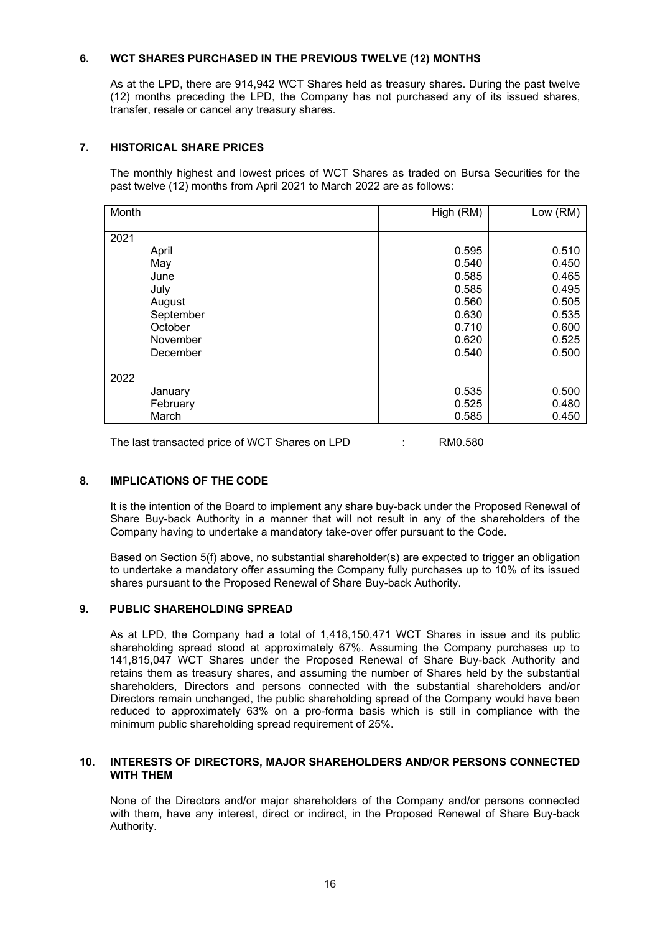# **6. WCT SHARES PURCHASED IN THE PREVIOUS TWELVE (12) MONTHS**

As at the LPD, there are 914,942 WCT Shares held as treasury shares. During the past twelve (12) months preceding the LPD, the Company has not purchased any of its issued shares, transfer, resale or cancel any treasury shares.

# **7. HISTORICAL SHARE PRICES**

The monthly highest and lowest prices of WCT Shares as traded on Bursa Securities for the past twelve (12) months from April 2021 to March 2022 are as follows:

| Month     | High (RM) | Low (RM) |
|-----------|-----------|----------|
| 2021      |           |          |
|           |           |          |
| April     | 0.595     | 0.510    |
| May       | 0.540     | 0.450    |
| June      | 0.585     | 0.465    |
| July      | 0.585     | 0.495    |
| August    | 0.560     | 0.505    |
| September | 0.630     | 0.535    |
| October   | 0.710     | 0.600    |
| November  | 0.620     | 0.525    |
| December  | 0.540     | 0.500    |
| 2022      |           |          |
| January   | 0.535     | 0.500    |
| February  | 0.525     | 0.480    |
| March     | 0.585     | 0.450    |

The last transacted price of WCT Shares on LPD : RM0.580

# **8. IMPLICATIONS OF THE CODE**

It is the intention of the Board to implement any share buy-back under the Proposed Renewal of Share Buy-back Authority in a manner that will not result in any of the shareholders of the Company having to undertake a mandatory take-over offer pursuant to the Code.

Based on Section 5(f) above, no substantial shareholder(s) are expected to trigger an obligation to undertake a mandatory offer assuming the Company fully purchases up to 10% of its issued shares pursuant to the Proposed Renewal of Share Buy-back Authority.

#### **9. PUBLIC SHAREHOLDING SPREAD**

As at LPD, the Company had a total of 1,418,150,471 WCT Shares in issue and its public shareholding spread stood at approximately 67%. Assuming the Company purchases up to 141,815,047 WCT Shares under the Proposed Renewal of Share Buy-back Authority and retains them as treasury shares, and assuming the number of Shares held by the substantial shareholders, Directors and persons connected with the substantial shareholders and/or Directors remain unchanged, the public shareholding spread of the Company would have been reduced to approximately 63% on a pro-forma basis which is still in compliance with the minimum public shareholding spread requirement of 25%.

#### **10. INTERESTS OF DIRECTORS, MAJOR SHAREHOLDERS AND/OR PERSONS CONNECTED WITH THEM**

None of the Directors and/or major shareholders of the Company and/or persons connected with them, have any interest, direct or indirect, in the Proposed Renewal of Share Buy-back Authority.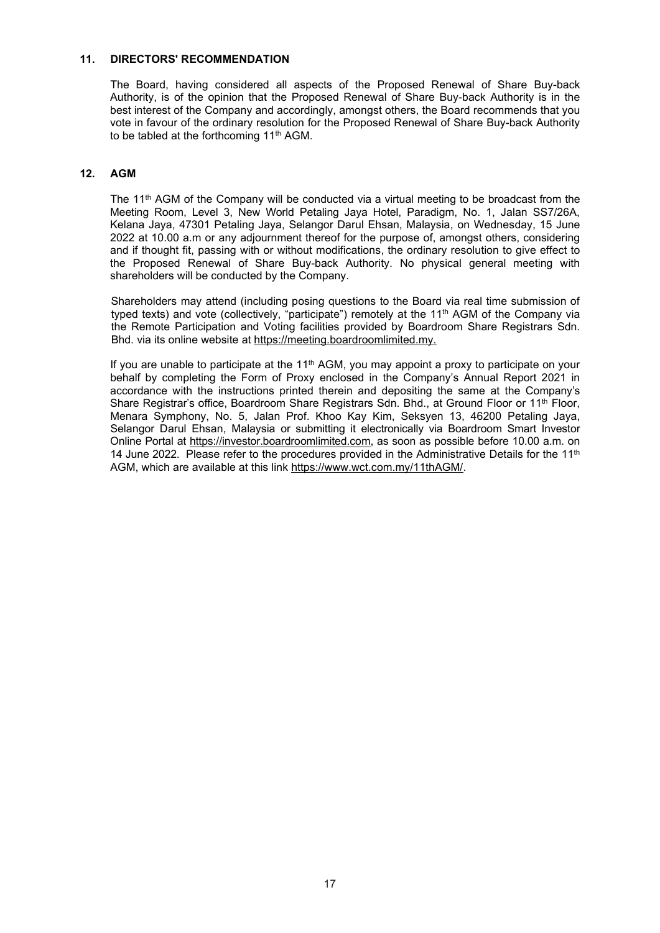#### **11. DIRECTORS' RECOMMENDATION**

The Board, having considered all aspects of the Proposed Renewal of Share Buy-back Authority, is of the opinion that the Proposed Renewal of Share Buy-back Authority is in the best interest of the Company and accordingly, amongst others, the Board recommends that you vote in favour of the ordinary resolution for the Proposed Renewal of Share Buy-back Authority to be tabled at the forthcoming 11<sup>th</sup> AGM.

# **12. AGM**

The 11<sup>th</sup> AGM of the Company will be conducted via a virtual meeting to be broadcast from the Meeting Room, Level 3, New World Petaling Jaya Hotel, Paradigm, No. 1, Jalan SS7/26A, Kelana Jaya, 47301 Petaling Jaya, Selangor Darul Ehsan, Malaysia, on Wednesday, 15 June 2022 at 10.00 a.m or any adjournment thereof for the purpose of, amongst others, considering and if thought fit, passing with or without modifications, the ordinary resolution to give effect to the Proposed Renewal of Share Buy-back Authority. No physical general meeting with shareholders will be conducted by the Company.

Shareholders may attend (including posing questions to the Board via real time submission of typed texts) and vote (collectively, "participate") remotely at the 11<sup>th</sup> AGM of the Company via the Remote Participation and Voting facilities provided by Boardroom Share Registrars Sdn. Bhd. via its online website at https://meeting.boardroomlimited.my.

If you are unable to participate at the  $11<sup>th</sup>$  AGM, you may appoint a proxy to participate on your behalf by completing the Form of Proxy enclosed in the Company's Annual Report 2021 in accordance with the instructions printed therein and depositing the same at the Company's Share Registrar's office, Boardroom Share Registrars Sdn. Bhd., at Ground Floor or 11<sup>th</sup> Floor, Menara Symphony, No. 5, Jalan Prof. Khoo Kay Kim, Seksyen 13, 46200 Petaling Jaya, Selangor Darul Ehsan, Malaysia or submitting it electronically via Boardroom Smart Investor Online Portal at https://investor.boardroomlimited.com, as soon as possible before 10.00 a.m. on 14 June 2022. Please refer to the procedures provided in the Administrative Details for the 11<sup>th</sup> AGM, which are available at this link https://www.wct.com.my/11thAGM/.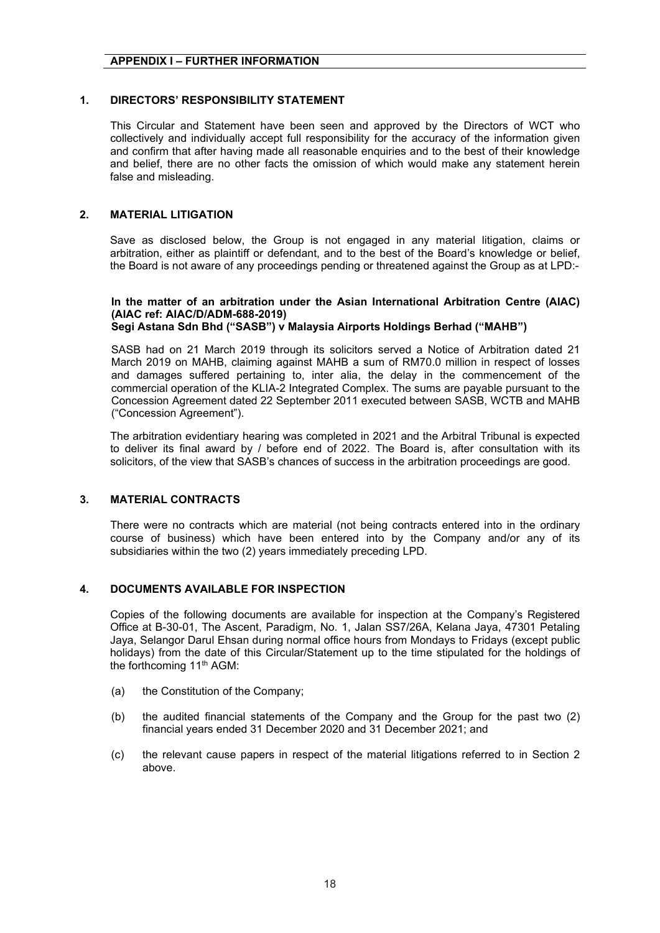# **APPENDIX I – FURTHER INFORMATION**

# **1. DIRECTORS' RESPONSIBILITY STATEMENT**

This Circular and Statement have been seen and approved by the Directors of WCT who collectively and individually accept full responsibility for the accuracy of the information given and confirm that after having made all reasonable enquiries and to the best of their knowledge and belief, there are no other facts the omission of which would make any statement herein false and misleading.

# **2. MATERIAL LITIGATION**

Save as disclosed below, the Group is not engaged in any material litigation, claims or arbitration, either as plaintiff or defendant, and to the best of the Board's knowledge or belief, the Board is not aware of any proceedings pending or threatened against the Group as at LPD:-

#### **In the matter of an arbitration under the Asian International Arbitration Centre (AIAC) (AIAC ref: AIAC/D/ADM-688-2019) Segi Astana Sdn Bhd ("SASB") v Malaysia Airports Holdings Berhad ("MAHB")**

SASB had on 21 March 2019 through its solicitors served a Notice of Arbitration dated 21 March 2019 on MAHB, claiming against MAHB a sum of RM70.0 million in respect of losses and damages suffered pertaining to, inter alia, the delay in the commencement of the commercial operation of the KLIA-2 Integrated Complex. The sums are payable pursuant to the Concession Agreement dated 22 September 2011 executed between SASB, WCTB and MAHB ("Concession Agreement").

The arbitration evidentiary hearing was completed in 2021 and the Arbitral Tribunal is expected to deliver its final award by / before end of 2022. The Board is, after consultation with its solicitors, of the view that SASB's chances of success in the arbitration proceedings are good.

# **3. MATERIAL CONTRACTS**

There were no contracts which are material (not being contracts entered into in the ordinary course of business) which have been entered into by the Company and/or any of its subsidiaries within the two (2) years immediately preceding LPD.

# **4. DOCUMENTS AVAILABLE FOR INSPECTION**

Copies of the following documents are available for inspection at the Company's Registered Office at B-30-01, The Ascent, Paradigm, No. 1, Jalan SS7/26A, Kelana Jaya, 47301 Petaling Jaya, Selangor Darul Ehsan during normal office hours from Mondays to Fridays (except public holidays) from the date of this Circular/Statement up to the time stipulated for the holdings of the forthcoming 11<sup>th</sup> AGM:

- (a) the Constitution of the Company;
- (b) the audited financial statements of the Company and the Group for the past two (2) financial years ended 31 December 2020 and 31 December 2021; and
- (c) the relevant cause papers in respect of the material litigations referred to in Section 2 above.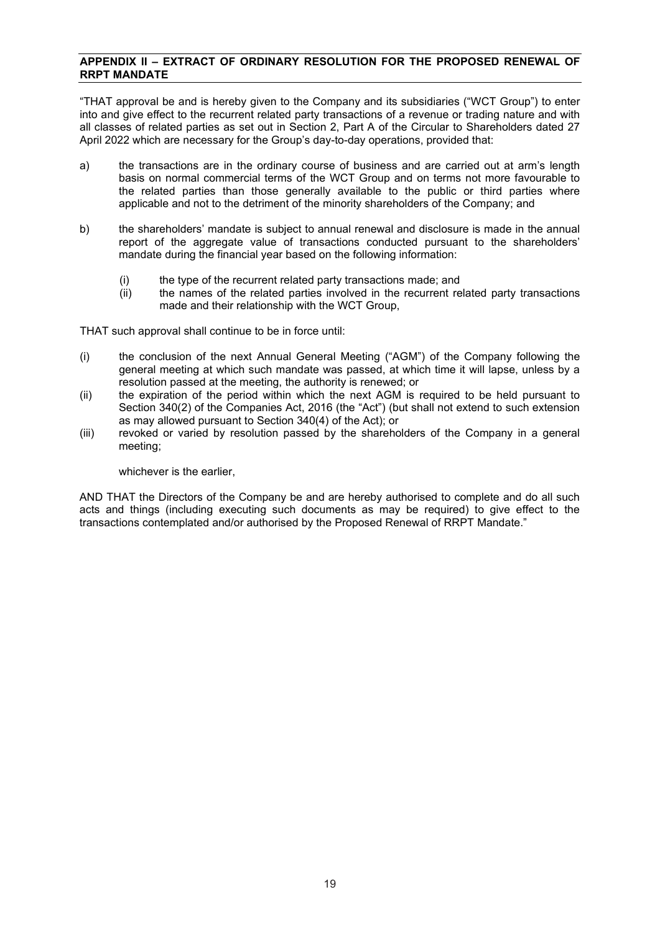# **APPENDIX II – EXTRACT OF ORDINARY RESOLUTION FOR THE PROPOSED RENEWAL OF RRPT MANDATE**

"THAT approval be and is hereby given to the Company and its subsidiaries ("WCT Group") to enter into and give effect to the recurrent related party transactions of a revenue or trading nature and with all classes of related parties as set out in Section 2, Part A of the Circular to Shareholders dated 27 April 2022 which are necessary for the Group's day-to-day operations, provided that:

- a) the transactions are in the ordinary course of business and are carried out at arm's length basis on normal commercial terms of the WCT Group and on terms not more favourable to the related parties than those generally available to the public or third parties where applicable and not to the detriment of the minority shareholders of the Company; and
- b) the shareholders' mandate is subject to annual renewal and disclosure is made in the annual report of the aggregate value of transactions conducted pursuant to the shareholders' mandate during the financial year based on the following information:
	- (i) the type of the recurrent related party transactions made; and  $(i)$  the names of the related parties involved in the recurrent re
	- the names of the related parties involved in the recurrent related party transactions made and their relationship with the WCT Group,

THAT such approval shall continue to be in force until:

- (i) the conclusion of the next Annual General Meeting ("AGM") of the Company following the general meeting at which such mandate was passed, at which time it will lapse, unless by a resolution passed at the meeting, the authority is renewed; or
- (ii) the expiration of the period within which the next AGM is required to be held pursuant to Section 340(2) of the Companies Act, 2016 (the "Act") (but shall not extend to such extension as may allowed pursuant to Section 340(4) of the Act); or
- (iii) revoked or varied by resolution passed by the shareholders of the Company in a general meeting;

whichever is the earlier,

AND THAT the Directors of the Company be and are hereby authorised to complete and do all such acts and things (including executing such documents as may be required) to give effect to the transactions contemplated and/or authorised by the Proposed Renewal of RRPT Mandate."